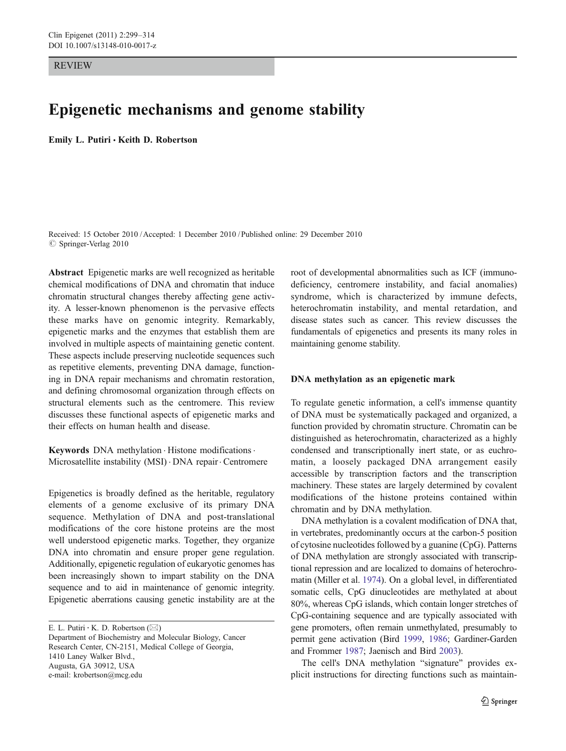**REVIEW** 

# Epigenetic mechanisms and genome stability

Emily L. Putiri · Keith D. Robertson

Received: 15 October 2010 /Accepted: 1 December 2010 / Published online: 29 December 2010  $©$  Springer-Verlag 2010

Abstract Epigenetic marks are well recognized as heritable chemical modifications of DNA and chromatin that induce chromatin structural changes thereby affecting gene activity. A lesser-known phenomenon is the pervasive effects these marks have on genomic integrity. Remarkably, epigenetic marks and the enzymes that establish them are involved in multiple aspects of maintaining genetic content. These aspects include preserving nucleotide sequences such as repetitive elements, preventing DNA damage, functioning in DNA repair mechanisms and chromatin restoration, and defining chromosomal organization through effects on structural elements such as the centromere. This review discusses these functional aspects of epigenetic marks and their effects on human health and disease.

Keywords DNA methylation . Histone modifications . Microsatellite instability (MSI) . DNA repair. Centromere

Epigenetics is broadly defined as the heritable, regulatory elements of a genome exclusive of its primary DNA sequence. Methylation of DNA and post-translational modifications of the core histone proteins are the most well understood epigenetic marks. Together, they organize DNA into chromatin and ensure proper gene regulation. Additionally, epigenetic regulation of eukaryotic genomes has been increasingly shown to impart stability on the DNA sequence and to aid in maintenance of genomic integrity. Epigenetic aberrations causing genetic instability are at the

Department of Biochemistry and Molecular Biology, Cancer Research Center, CN-2151, Medical College of Georgia, 1410 Laney Walker Blvd., Augusta, GA 30912, USA e-mail: krobertson@mcg.edu

root of developmental abnormalities such as ICF (immunodeficiency, centromere instability, and facial anomalies) syndrome, which is characterized by immune defects, heterochromatin instability, and mental retardation, and disease states such as cancer. This review discusses the fundamentals of epigenetics and presents its many roles in maintaining genome stability.

#### DNA methylation as an epigenetic mark

To regulate genetic information, a cell"s immense quantity of DNA must be systematically packaged and organized, a function provided by chromatin structure. Chromatin can be distinguished as heterochromatin, characterized as a highly condensed and transcriptionally inert state, or as euchromatin, a loosely packaged DNA arrangement easily accessible by transcription factors and the transcription machinery. These states are largely determined by covalent modifications of the histone proteins contained within chromatin and by DNA methylation.

DNA methylation is a covalent modification of DNA that, in vertebrates, predominantly occurs at the carbon-5 position of cytosine nucleotides followed by a guanine (CpG). Patterns of DNA methylation are strongly associated with transcriptional repression and are localized to domains of heterochromatin (Miller et al. [1974](#page-13-0)). On a global level, in differentiated somatic cells, CpG dinucleotides are methylated at about 80%, whereas CpG islands, which contain longer stretches of CpG-containing sequence and are typically associated with gene promoters, often remain unmethylated, presumably to permit gene activation (Bird [1999](#page-11-0), [1986;](#page-10-0) Gardiner-Garden and Frommer [1987;](#page-11-0) Jaenisch and Bird [2003\)](#page-12-0).

The cell"s DNA methylation "signature" provides explicit instructions for directing functions such as maintain-

E. L. Putiri  $\cdot$  K. D. Robertson ( $\boxtimes$ )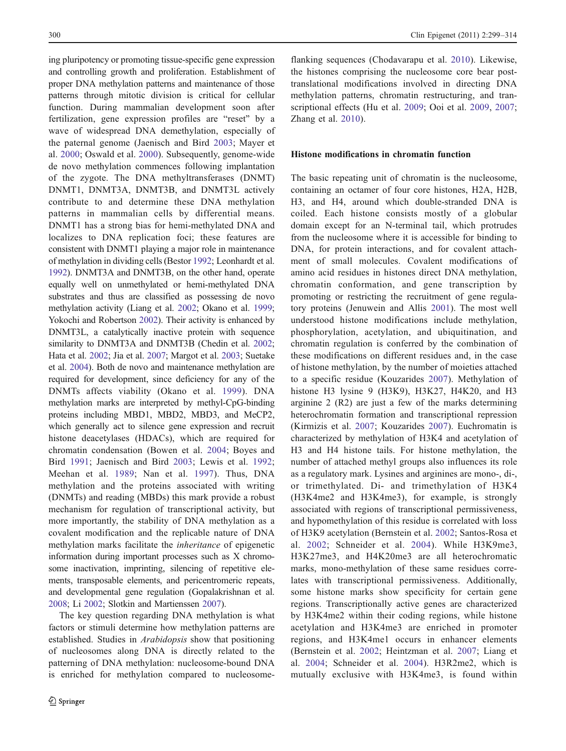ing pluripotency or promoting tissue-specific gene expression and controlling growth and proliferation. Establishment of proper DNA methylation patterns and maintenance of those patterns through mitotic division is critical for cellular function. During mammalian development soon after fertilization, gene expression profiles are "reset" by a wave of widespread DNA demethylation, especially of the paternal genome (Jaenisch and Bird [2003](#page-12-0); Mayer et al. [2000](#page-13-0); Oswald et al. [2000](#page-14-0)). Subsequently, genome-wide de novo methylation commences following implantation of the zygote. The DNA methyltransferases (DNMT) DNMT1, DNMT3A, DNMT3B, and DNMT3L actively contribute to and determine these DNA methylation patterns in mammalian cells by differential means. DNMT1 has a strong bias for hemi-methylated DNA and localizes to DNA replication foci; these features are consistent with DNMT1 playing a major role in maintenance of methylation in dividing cells (Bestor [1992;](#page-10-0) Leonhardt et al. [1992\)](#page-13-0). DNMT3A and DNMT3B, on the other hand, operate equally well on unmethylated or hemi-methylated DNA substrates and thus are classified as possessing de novo methylation activity (Liang et al. [2002;](#page-13-0) Okano et al. [1999](#page-13-0); Yokochi and Robertson [2002](#page-15-0)). Their activity is enhanced by DNMT3L, a catalytically inactive protein with sequence similarity to DNMT3A and DNMT3B (Chedin et al. [2002](#page-11-0); Hata et al. [2002;](#page-12-0) Jia et al. [2007](#page-12-0); Margot et al. [2003;](#page-13-0) Suetake et al. [2004](#page-14-0)). Both de novo and maintenance methylation are required for development, since deficiency for any of the DNMTs affects viability (Okano et al. [1999\)](#page-13-0). DNA methylation marks are interpreted by methyl-CpG-binding proteins including MBD1, MBD2, MBD3, and MeCP2, which generally act to silence gene expression and recruit histone deacetylases (HDACs), which are required for chromatin condensation (Bowen et al. [2004](#page-11-0); Boyes and Bird [1991;](#page-11-0) Jaenisch and Bird [2003;](#page-12-0) Lewis et al. [1992](#page-13-0); Meehan et al. [1989](#page-13-0); Nan et al. [1997](#page-13-0)). Thus, DNA methylation and the proteins associated with writing (DNMTs) and reading (MBDs) this mark provide a robust mechanism for regulation of transcriptional activity, but more importantly, the stability of DNA methylation as a covalent modification and the replicable nature of DNA methylation marks facilitate the inheritance of epigenetic information during important processes such as X chromosome inactivation, imprinting, silencing of repetitive elements, transposable elements, and pericentromeric repeats, and developmental gene regulation (Gopalakrishnan et al. [2008;](#page-11-0) Li [2002;](#page-13-0) Slotkin and Martienssen [2007\)](#page-14-0).

The key question regarding DNA methylation is what factors or stimuli determine how methylation patterns are established. Studies in Arabidopsis show that positioning of nucleosomes along DNA is directly related to the patterning of DNA methylation: nucleosome-bound DNA is enriched for methylation compared to nucleosome-

flanking sequences (Chodavarapu et al. [2010](#page-11-0)). Likewise, the histones comprising the nucleosome core bear posttranslational modifications involved in directing DNA methylation patterns, chromatin restructuring, and transcriptional effects (Hu et al. [2009;](#page-12-0) Ooi et al. [2009](#page-14-0), [2007;](#page-13-0) Zhang et al. [2010](#page-15-0)).

#### Histone modifications in chromatin function

The basic repeating unit of chromatin is the nucleosome, containing an octamer of four core histones, H2A, H2B, H3, and H4, around which double-stranded DNA is coiled. Each histone consists mostly of a globular domain except for an N-terminal tail, which protrudes from the nucleosome where it is accessible for binding to DNA, for protein interactions, and for covalent attachment of small molecules. Covalent modifications of amino acid residues in histones direct DNA methylation, chromatin conformation, and gene transcription by promoting or restricting the recruitment of gene regulatory proteins (Jenuwein and Allis [2001](#page-12-0)). The most well understood histone modifications include methylation, phosphorylation, acetylation, and ubiquitination, and chromatin regulation is conferred by the combination of these modifications on different residues and, in the case of histone methylation, by the number of moieties attached to a specific residue (Kouzarides [2007\)](#page-12-0). Methylation of histone H3 lysine 9 (H3K9), H3K27, H4K20, and H3 arginine 2 (R2) are just a few of the marks determining heterochromatin formation and transcriptional repression (Kirmizis et al. [2007](#page-12-0); Kouzarides [2007\)](#page-12-0). Euchromatin is characterized by methylation of H3K4 and acetylation of H3 and H4 histone tails. For histone methylation, the number of attached methyl groups also influences its role as a regulatory mark. Lysines and arginines are mono-, di-, or trimethylated. Di- and trimethylation of H3K4 (H3K4me2 and H3K4me3), for example, is strongly associated with regions of transcriptional permissiveness, and hypomethylation of this residue is correlated with loss of H3K9 acetylation (Bernstein et al. [2002;](#page-10-0) Santos-Rosa et al. [2002](#page-14-0); Schneider et al. [2004\)](#page-14-0). While H3K9me3, H3K27me3, and H4K20me3 are all heterochromatic marks, mono-methylation of these same residues correlates with transcriptional permissiveness. Additionally, some histone marks show specificity for certain gene regions. Transcriptionally active genes are characterized by H3K4me2 within their coding regions, while histone acetylation and H3K4me3 are enriched in promoter regions, and H3K4me1 occurs in enhancer elements (Bernstein et al. [2002](#page-10-0); Heintzman et al. [2007;](#page-12-0) Liang et al. [2004](#page-13-0); Schneider et al. [2004\)](#page-14-0). H3R2me2, which is mutually exclusive with H3K4me3, is found within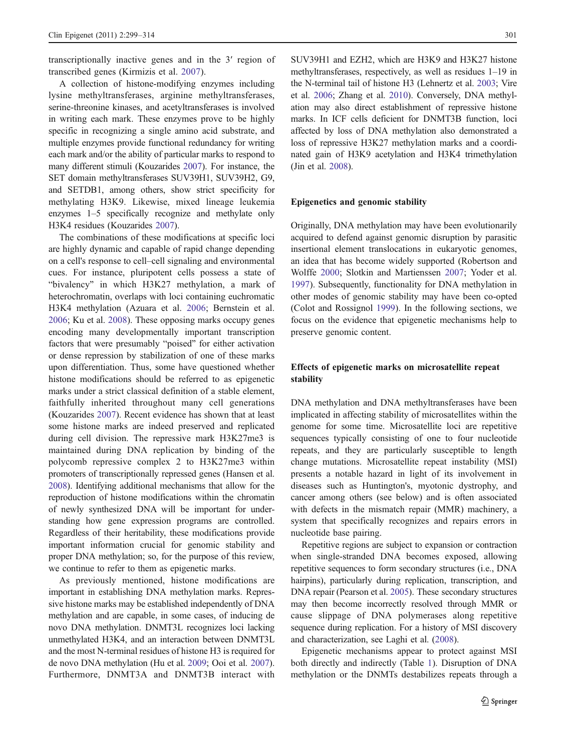transcriptionally inactive genes and in the 3′ region of transcribed genes (Kirmizis et al. [2007](#page-12-0)).

A collection of histone-modifying enzymes including lysine methyltransferases, arginine methyltransferases, serine-threonine kinases, and acetyltransferases is involved in writing each mark. These enzymes prove to be highly specific in recognizing a single amino acid substrate, and multiple enzymes provide functional redundancy for writing each mark and/or the ability of particular marks to respond to many different stimuli (Kouzarides [2007](#page-12-0)). For instance, the SET domain methyltransferases SUV39H1, SUV39H2, G9, and SETDB1, among others, show strict specificity for methylating H3K9. Likewise, mixed lineage leukemia enzymes 1–5 specifically recognize and methylate only H3K4 residues (Kouzarides [2007](#page-12-0)).

The combinations of these modifications at specific loci are highly dynamic and capable of rapid change depending on a cell"s response to cell–cell signaling and environmental cues. For instance, pluripotent cells possess a state of "bivalency" in which H3K27 methylation, a mark of heterochromatin, overlaps with loci containing euchromatic H3K4 methylation (Azuara et al. [2006;](#page-10-0) Bernstein et al. [2006;](#page-10-0) Ku et al. [2008\)](#page-12-0). These opposing marks occupy genes encoding many developmentally important transcription factors that were presumably "poised" for either activation or dense repression by stabilization of one of these marks upon differentiation. Thus, some have questioned whether histone modifications should be referred to as epigenetic marks under a strict classical definition of a stable element, faithfully inherited throughout many cell generations (Kouzarides [2007](#page-12-0)). Recent evidence has shown that at least some histone marks are indeed preserved and replicated during cell division. The repressive mark H3K27me3 is maintained during DNA replication by binding of the polycomb repressive complex 2 to H3K27me3 within promoters of transcriptionally repressed genes (Hansen et al. [2008\)](#page-12-0). Identifying additional mechanisms that allow for the reproduction of histone modifications within the chromatin of newly synthesized DNA will be important for understanding how gene expression programs are controlled. Regardless of their heritability, these modifications provide important information crucial for genomic stability and proper DNA methylation; so, for the purpose of this review, we continue to refer to them as epigenetic marks.

As previously mentioned, histone modifications are important in establishing DNA methylation marks. Repressive histone marks may be established independently of DNA methylation and are capable, in some cases, of inducing de novo DNA methylation. DNMT3L recognizes loci lacking unmethylated H3K4, and an interaction between DNMT3L and the most N-terminal residues of histone H3 is required for de novo DNA methylation (Hu et al. [2009](#page-12-0); Ooi et al. [2007\)](#page-13-0). Furthermore, DNMT3A and DNMT3B interact with

SUV39H1 and EZH2, which are H3K9 and H3K27 histone methyltransferases, respectively, as well as residues 1–19 in the N-terminal tail of histone H3 (Lehnertz et al. [2003;](#page-13-0) Vire et al. [2006;](#page-15-0) Zhang et al. [2010](#page-15-0)). Conversely, DNA methylation may also direct establishment of repressive histone marks. In ICF cells deficient for DNMT3B function, loci affected by loss of DNA methylation also demonstrated a loss of repressive H3K27 methylation marks and a coordinated gain of H3K9 acetylation and H3K4 trimethylation (Jin et al. [2008](#page-12-0)).

## Epigenetics and genomic stability

Originally, DNA methylation may have been evolutionarily acquired to defend against genomic disruption by parasitic insertional element translocations in eukaryotic genomes, an idea that has become widely supported (Robertson and Wolffe [2000](#page-14-0); Slotkin and Martienssen [2007](#page-14-0); Yoder et al. [1997](#page-15-0)). Subsequently, functionality for DNA methylation in other modes of genomic stability may have been co-opted (Colot and Rossignol [1999](#page-11-0)). In the following sections, we focus on the evidence that epigenetic mechanisms help to preserve genomic content.

## Effects of epigenetic marks on microsatellite repeat stability

DNA methylation and DNA methyltransferases have been implicated in affecting stability of microsatellites within the genome for some time. Microsatellite loci are repetitive sequences typically consisting of one to four nucleotide repeats, and they are particularly susceptible to length change mutations. Microsatellite repeat instability (MSI) presents a notable hazard in light of its involvement in diseases such as Huntington"s, myotonic dystrophy, and cancer among others (see below) and is often associated with defects in the mismatch repair (MMR) machinery, a system that specifically recognizes and repairs errors in nucleotide base pairing.

Repetitive regions are subject to expansion or contraction when single-stranded DNA becomes exposed, allowing repetitive sequences to form secondary structures (i.e., DNA hairpins), particularly during replication, transcription, and DNA repair (Pearson et al. [2005](#page-14-0)). These secondary structures may then become incorrectly resolved through MMR or cause slippage of DNA polymerases along repetitive sequence during replication. For a history of MSI discovery and characterization, see Laghi et al. [\(2008\)](#page-12-0).

Epigenetic mechanisms appear to protect against MSI both directly and indirectly (Table [1](#page-3-0)). Disruption of DNA methylation or the DNMTs destabilizes repeats through a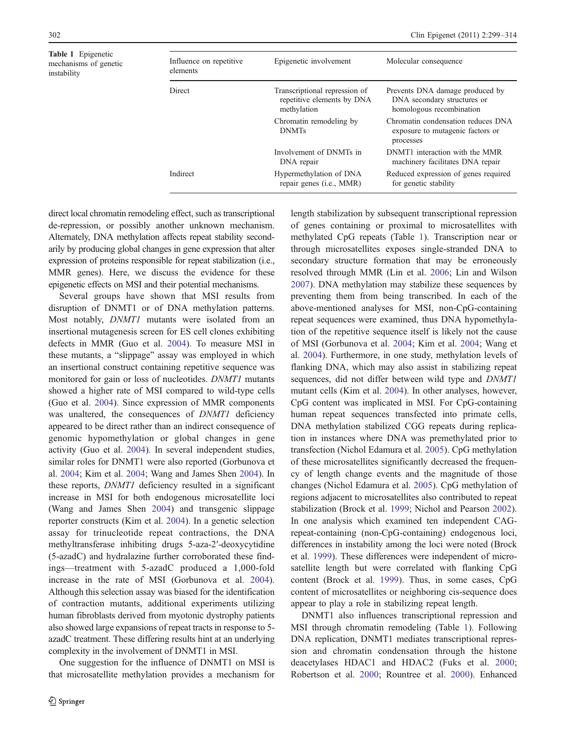<span id="page-3-0"></span>

| <b>Table 1</b> Epigenetic<br>mechanisms of genetic<br>instability | Influence on repetitive<br>elements | Epigenetic involvement                                                     | Molecular consequence                                                                      |
|-------------------------------------------------------------------|-------------------------------------|----------------------------------------------------------------------------|--------------------------------------------------------------------------------------------|
|                                                                   | Direct                              | Transcriptional repression of<br>repetitive elements by DNA<br>methylation | Prevents DNA damage produced by<br>DNA secondary structures or<br>homologous recombination |
|                                                                   |                                     | Chromatin remodeling by<br><b>DNMTs</b>                                    | Chromatin condensation reduces DNA<br>exposure to mutagenic factors or<br>processes        |
|                                                                   |                                     | Involvement of DNMTs in<br>DNA repair                                      | DNMT1 interaction with the MMR<br>machinery facilitates DNA repair                         |
|                                                                   | Indirect                            | Hypermethylation of DNA<br>repair genes ( <i>i.e.</i> , MMR)               | Reduced expression of genes required<br>for genetic stability                              |

direct local chromatin remodeling effect, such as transcriptional de-repression, or possibly another unknown mechanism. Alternately, DNA methylation affects repeat stability secondarily by producing global changes in gene expression that alter expression of proteins responsible for repeat stabilization (i.e., MMR genes). Here, we discuss the evidence for these epigenetic effects on MSI and their potential mechanisms.

Several groups have shown that MSI results from disruption of DNMT1 or of DNA methylation patterns. Most notably, *DNMT1* mutants were isolated from an insertional mutagenesis screen for ES cell clones exhibiting defects in MMR (Guo et al. [2004](#page-11-0)). To measure MSI in these mutants, a "slippage" assay was employed in which an insertional construct containing repetitive sequence was monitored for gain or loss of nucleotides. DNMT1 mutants showed a higher rate of MSI compared to wild-type cells (Guo et al. [2004\)](#page-11-0). Since expression of MMR components was unaltered, the consequences of DNMT1 deficiency appeared to be direct rather than an indirect consequence of genomic hypomethylation or global changes in gene activity (Guo et al. [2004](#page-11-0)). In several independent studies, similar roles for DNMT1 were also reported (Gorbunova et al. [2004;](#page-11-0) Kim et al. [2004;](#page-12-0) Wang and James Shen [2004](#page-15-0)). In these reports, DNMT1 deficiency resulted in a significant increase in MSI for both endogenous microsatellite loci (Wang and James Shen [2004\)](#page-15-0) and transgenic slippage reporter constructs (Kim et al. [2004\)](#page-12-0). In a genetic selection assay for trinucleotide repeat contractions, the DNA methyltransferase inhibiting drugs 5-aza-2′-deoxycytidine (5-azadC) and hydralazine further corroborated these findings—treatment with 5-azadC produced a 1,000-fold increase in the rate of MSI (Gorbunova et al. [2004](#page-11-0)). Although this selection assay was biased for the identification of contraction mutants, additional experiments utilizing human fibroblasts derived from myotonic dystrophy patients also showed large expansions of repeat tracts in response to 5 azadC treatment. These differing results hint at an underlying complexity in the involvement of DNMT1 in MSI.

One suggestion for the influence of DNMT1 on MSI is that microsatellite methylation provides a mechanism for length stabilization by subsequent transcriptional repression of genes containing or proximal to microsatellites with methylated CpG repeats (Table 1). Transcription near or through microsatellites exposes single-stranded DNA to secondary structure formation that may be erroneously resolved through MMR (Lin et al. [2006;](#page-13-0) Lin and Wilson [2007](#page-13-0)). DNA methylation may stabilize these sequences by preventing them from being transcribed. In each of the above-mentioned analyses for MSI, non-CpG-containing repeat sequences were examined, thus DNA hypomethylation of the repetitive sequence itself is likely not the cause of MSI (Gorbunova et al. [2004;](#page-11-0) Kim et al. [2004;](#page-12-0) Wang et al. [2004](#page-15-0)). Furthermore, in one study, methylation levels of flanking DNA, which may also assist in stabilizing repeat sequences, did not differ between wild type and DNMT1 mutant cells (Kim et al. [2004\)](#page-12-0). In other analyses, however, CpG content was implicated in MSI. For CpG-containing human repeat sequences transfected into primate cells, DNA methylation stabilized CGG repeats during replication in instances where DNA was premethylated prior to transfection (Nichol Edamura et al. [2005](#page-13-0)). CpG methylation of these microsatellites significantly decreased the frequency of length change events and the magnitude of those changes (Nichol Edamura et al. [2005](#page-13-0)). CpG methylation of regions adjacent to microsatellites also contributed to repeat stabilization (Brock et al. [1999;](#page-11-0) Nichol and Pearson [2002\)](#page-13-0). In one analysis which examined ten independent CAGrepeat-containing (non-CpG-containing) endogenous loci, differences in instability among the loci were noted (Brock et al. [1999](#page-11-0)). These differences were independent of microsatellite length but were correlated with flanking CpG content (Brock et al. [1999\)](#page-11-0). Thus, in some cases, CpG content of microsatellites or neighboring cis-sequence does appear to play a role in stabilizing repeat length.

DNMT1 also influences transcriptional repression and MSI through chromatin remodeling (Table 1). Following DNA replication, DNMT1 mediates transcriptional repression and chromatin condensation through the histone deacetylases HDAC1 and HDAC2 (Fuks et al. [2000;](#page-11-0) Robertson et al. [2000;](#page-14-0) Rountree et al. [2000](#page-14-0)). Enhanced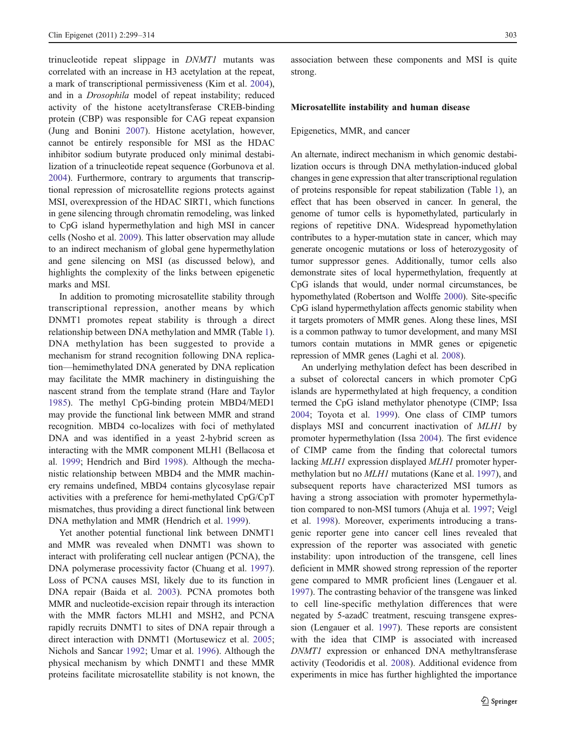trinucleotide repeat slippage in DNMT1 mutants was correlated with an increase in H3 acetylation at the repeat, a mark of transcriptional permissiveness (Kim et al. [2004](#page-12-0)), and in a Drosophila model of repeat instability; reduced activity of the histone acetyltransferase CREB-binding protein (CBP) was responsible for CAG repeat expansion (Jung and Bonini [2007\)](#page-12-0). Histone acetylation, however, cannot be entirely responsible for MSI as the HDAC inhibitor sodium butyrate produced only minimal destabilization of a trinucleotide repeat sequence (Gorbunova et al. [2004\)](#page-11-0). Furthermore, contrary to arguments that transcriptional repression of microsatellite regions protects against MSI, overexpression of the HDAC SIRT1, which functions in gene silencing through chromatin remodeling, was linked to CpG island hypermethylation and high MSI in cancer cells (Nosho et al. [2009](#page-13-0)). This latter observation may allude to an indirect mechanism of global gene hypermethylation and gene silencing on MSI (as discussed below), and highlights the complexity of the links between epigenetic marks and MSI.

In addition to promoting microsatellite stability through transcriptional repression, another means by which DNMT1 promotes repeat stability is through a direct relationship between DNA methylation and MMR (Table [1](#page-3-0)). DNA methylation has been suggested to provide a mechanism for strand recognition following DNA replication—hemimethylated DNA generated by DNA replication may facilitate the MMR machinery in distinguishing the nascent strand from the template strand (Hare and Taylor [1985](#page-12-0)). The methyl CpG-binding protein MBD4/MED1 may provide the functional link between MMR and strand recognition. MBD4 co-localizes with foci of methylated DNA and was identified in a yeast 2-hybrid screen as interacting with the MMR component MLH1 (Bellacosa et al. [1999;](#page-10-0) Hendrich and Bird [1998](#page-12-0)). Although the mechanistic relationship between MBD4 and the MMR machinery remains undefined, MBD4 contains glycosylase repair activities with a preference for hemi-methylated CpG/CpT mismatches, thus providing a direct functional link between DNA methylation and MMR (Hendrich et al. [1999](#page-12-0)).

Yet another potential functional link between DNMT1 and MMR was revealed when DNMT1 was shown to interact with proliferating cell nuclear antigen (PCNA), the DNA polymerase processivity factor (Chuang et al. [1997](#page-11-0)). Loss of PCNA causes MSI, likely due to its function in DNA repair (Baida et al. [2003\)](#page-10-0). PCNA promotes both MMR and nucleotide-excision repair through its interaction with the MMR factors MLH1 and MSH2, and PCNA rapidly recruits DNMT1 to sites of DNA repair through a direct interaction with DNMT1 (Mortusewicz et al. [2005](#page-13-0); Nichols and Sancar [1992;](#page-13-0) Umar et al. [1996](#page-15-0)). Although the physical mechanism by which DNMT1 and these MMR proteins facilitate microsatellite stability is not known, the

association between these components and MSI is quite strong.

### Microsatellite instability and human disease

#### Epigenetics, MMR, and cancer

An alternate, indirect mechanism in which genomic destabilization occurs is through DNA methylation-induced global changes in gene expression that alter transcriptional regulation of proteins responsible for repeat stabilization (Table [1](#page-3-0)), an effect that has been observed in cancer. In general, the genome of tumor cells is hypomethylated, particularly in regions of repetitive DNA. Widespread hypomethylation contributes to a hyper-mutation state in cancer, which may generate oncogenic mutations or loss of heterozygosity of tumor suppressor genes. Additionally, tumor cells also demonstrate sites of local hypermethylation, frequently at CpG islands that would, under normal circumstances, be hypomethylated (Robertson and Wolffe [2000\)](#page-14-0). Site-specific CpG island hypermethylation affects genomic stability when it targets promoters of MMR genes. Along these lines, MSI is a common pathway to tumor development, and many MSI tumors contain mutations in MMR genes or epigenetic repression of MMR genes (Laghi et al. [2008\)](#page-12-0).

An underlying methylation defect has been described in a subset of colorectal cancers in which promoter CpG islands are hypermethylated at high frequency, a condition termed the CpG island methylator phenotype (CIMP; Issa [2004](#page-12-0); Toyota et al. [1999](#page-14-0)). One class of CIMP tumors displays MSI and concurrent inactivation of MLH1 by promoter hypermethylation (Issa [2004](#page-12-0)). The first evidence of CIMP came from the finding that colorectal tumors lacking MLH1 expression displayed MLH1 promoter hypermethylation but no MLH1 mutations (Kane et al. [1997\)](#page-12-0), and subsequent reports have characterized MSI tumors as having a strong association with promoter hypermethylation compared to non-MSI tumors (Ahuja et al. [1997;](#page-10-0) Veigl et al. [1998](#page-15-0)). Moreover, experiments introducing a transgenic reporter gene into cancer cell lines revealed that expression of the reporter was associated with genetic instability: upon introduction of the transgene, cell lines deficient in MMR showed strong repression of the reporter gene compared to MMR proficient lines (Lengauer et al. [1997](#page-13-0)). The contrasting behavior of the transgene was linked to cell line-specific methylation differences that were negated by 5-azadC treatment, rescuing transgene expression (Lengauer et al. [1997\)](#page-13-0). These reports are consistent with the idea that CIMP is associated with increased DNMT1 expression or enhanced DNA methyltransferase activity (Teodoridis et al. [2008\)](#page-14-0). Additional evidence from experiments in mice has further highlighted the importance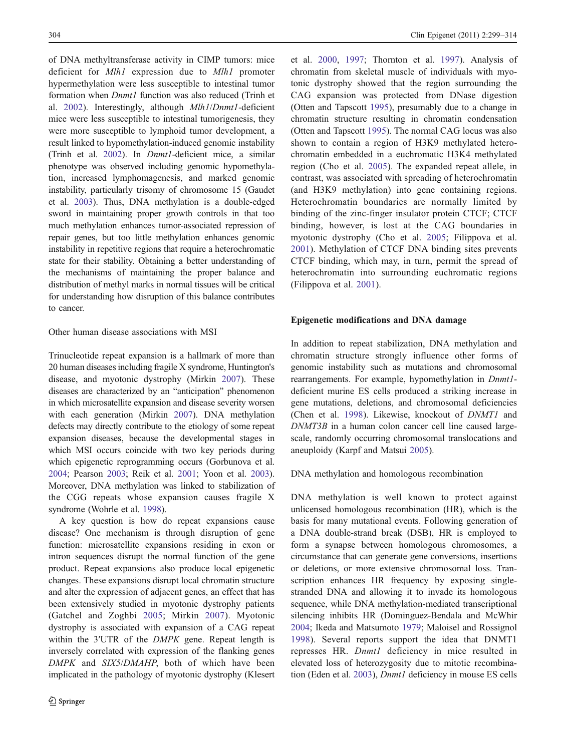of DNA methyltransferase activity in CIMP tumors: mice deficient for *Mlh1* expression due to *Mlh1* promoter hypermethylation were less susceptible to intestinal tumor formation when Dnmt1 function was also reduced (Trinh et al. [2002](#page-14-0)). Interestingly, although Mlh1/Dnmt1-deficient mice were less susceptible to intestinal tumorigenesis, they were more susceptible to lymphoid tumor development, a result linked to hypomethylation-induced genomic instability (Trinh et al. [2002](#page-14-0)). In Dnmt1-deficient mice, a similar phenotype was observed including genomic hypomethylation, increased lymphomagenesis, and marked genomic instability, particularly trisomy of chromosome 15 (Gaudet et al. [2003\)](#page-11-0). Thus, DNA methylation is a double-edged sword in maintaining proper growth controls in that too much methylation enhances tumor-associated repression of repair genes, but too little methylation enhances genomic instability in repetitive regions that require a heterochromatic state for their stability. Obtaining a better understanding of the mechanisms of maintaining the proper balance and distribution of methyl marks in normal tissues will be critical for understanding how disruption of this balance contributes to cancer.

#### Other human disease associations with MSI

Trinucleotide repeat expansion is a hallmark of more than 20 human diseases including fragile X syndrome, Huntington"s disease, and myotonic dystrophy (Mirkin [2007](#page-13-0)). These diseases are characterized by an "anticipation" phenomenon in which microsatellite expansion and disease severity worsen with each generation (Mirkin [2007\)](#page-13-0). DNA methylation defects may directly contribute to the etiology of some repeat expansion diseases, because the developmental stages in which MSI occurs coincide with two key periods during which epigenetic reprogramming occurs (Gorbunova et al. [2004;](#page-11-0) Pearson [2003](#page-14-0); Reik et al. [2001;](#page-14-0) Yoon et al. [2003\)](#page-15-0). Moreover, DNA methylation was linked to stabilization of the CGG repeats whose expansion causes fragile X syndrome (Wohrle et al. [1998\)](#page-15-0).

A key question is how do repeat expansions cause disease? One mechanism is through disruption of gene function: microsatellite expansions residing in exon or intron sequences disrupt the normal function of the gene product. Repeat expansions also produce local epigenetic changes. These expansions disrupt local chromatin structure and alter the expression of adjacent genes, an effect that has been extensively studied in myotonic dystrophy patients (Gatchel and Zoghbi [2005](#page-11-0); Mirkin [2007\)](#page-13-0). Myotonic dystrophy is associated with expansion of a CAG repeat within the 3′UTR of the *DMPK* gene. Repeat length is inversely correlated with expression of the flanking genes DMPK and SIX5/DMAHP, both of which have been implicated in the pathology of myotonic dystrophy (Klesert et al. [2000,](#page-12-0) [1997](#page-12-0); Thornton et al. [1997\)](#page-14-0). Analysis of chromatin from skeletal muscle of individuals with myotonic dystrophy showed that the region surrounding the CAG expansion was protected from DNase digestion (Otten and Tapscott [1995](#page-14-0)), presumably due to a change in chromatin structure resulting in chromatin condensation (Otten and Tapscott [1995\)](#page-14-0). The normal CAG locus was also shown to contain a region of H3K9 methylated heterochromatin embedded in a euchromatic H3K4 methylated region (Cho et al. [2005\)](#page-11-0). The expanded repeat allele, in contrast, was associated with spreading of heterochromatin (and H3K9 methylation) into gene containing regions. Heterochromatin boundaries are normally limited by binding of the zinc-finger insulator protein CTCF; CTCF binding, however, is lost at the CAG boundaries in myotonic dystrophy (Cho et al. [2005](#page-11-0); Filippova et al. [2001](#page-11-0)). Methylation of CTCF DNA binding sites prevents CTCF binding, which may, in turn, permit the spread of heterochromatin into surrounding euchromatic regions (Filippova et al. [2001](#page-11-0)).

## Epigenetic modifications and DNA damage

In addition to repeat stabilization, DNA methylation and chromatin structure strongly influence other forms of genomic instability such as mutations and chromosomal rearrangements. For example, hypomethylation in Dnmt1 deficient murine ES cells produced a striking increase in gene mutations, deletions, and chromosomal deficiencies (Chen et al. [1998](#page-11-0)). Likewise, knockout of DNMT1 and DNMT3B in a human colon cancer cell line caused largescale, randomly occurring chromosomal translocations and aneuploidy (Karpf and Matsui [2005](#page-12-0)).

DNA methylation and homologous recombination

DNA methylation is well known to protect against unlicensed homologous recombination (HR), which is the basis for many mutational events. Following generation of a DNA double-strand break (DSB), HR is employed to form a synapse between homologous chromosomes, a circumstance that can generate gene conversions, insertions or deletions, or more extensive chromosomal loss. Transcription enhances HR frequency by exposing singlestranded DNA and allowing it to invade its homologous sequence, while DNA methylation-mediated transcriptional silencing inhibits HR (Dominguez-Bendala and McWhir [2004](#page-11-0); Ikeda and Matsumoto [1979](#page-12-0); Maloisel and Rossignol [1998](#page-13-0)). Several reports support the idea that DNMT1 represses HR. Dnmt1 deficiency in mice resulted in elevated loss of heterozygosity due to mitotic recombina-tion (Eden et al. [2003\)](#page-11-0), *Dnmt1* deficiency in mouse ES cells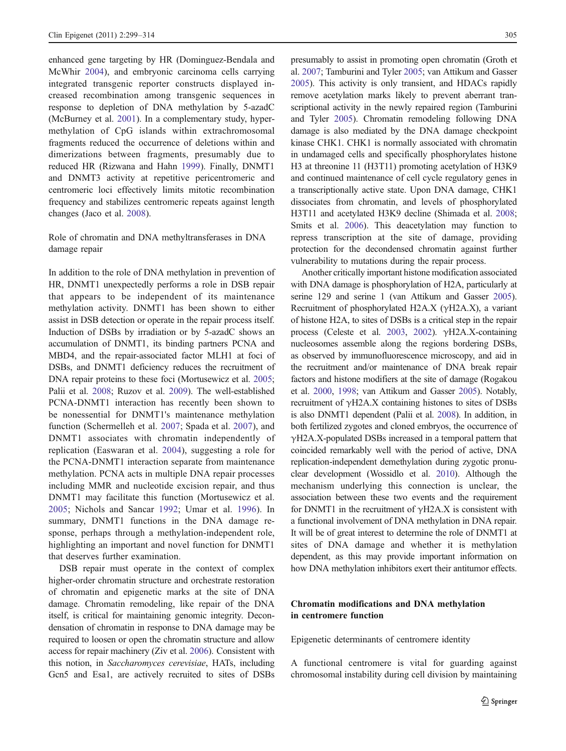enhanced gene targeting by HR (Dominguez-Bendala and McWhir [2004\)](#page-11-0), and embryonic carcinoma cells carrying integrated transgenic reporter constructs displayed increased recombination among transgenic sequences in response to depletion of DNA methylation by 5-azadC (McBurney et al. [2001](#page-13-0)). In a complementary study, hypermethylation of CpG islands within extrachromosomal fragments reduced the occurrence of deletions within and dimerizations between fragments, presumably due to reduced HR (Rizwana and Hahn [1999\)](#page-14-0). Finally, DNMT1 and DNMT3 activity at repetitive pericentromeric and centromeric loci effectively limits mitotic recombination frequency and stabilizes centromeric repeats against length changes (Jaco et al. [2008](#page-12-0)).

# Role of chromatin and DNA methyltransferases in DNA damage repair

In addition to the role of DNA methylation in prevention of HR, DNMT1 unexpectedly performs a role in DSB repair that appears to be independent of its maintenance methylation activity. DNMT1 has been shown to either assist in DSB detection or operate in the repair process itself. Induction of DSBs by irradiation or by 5-azadC shows an accumulation of DNMT1, its binding partners PCNA and MBD4, and the repair-associated factor MLH1 at foci of DSBs, and DNMT1 deficiency reduces the recruitment of DNA repair proteins to these foci (Mortusewicz et al. [2005](#page-13-0); Palii et al. [2008;](#page-14-0) Ruzov et al. [2009](#page-14-0)). The well-established PCNA-DNMT1 interaction has recently been shown to be nonessential for DNMT1"s maintenance methylation function (Schermelleh et al. [2007;](#page-14-0) Spada et al. [2007\)](#page-14-0), and DNMT1 associates with chromatin independently of replication (Easwaran et al. [2004](#page-11-0)), suggesting a role for the PCNA-DNMT1 interaction separate from maintenance methylation. PCNA acts in multiple DNA repair processes including MMR and nucleotide excision repair, and thus DNMT1 may facilitate this function (Mortusewicz et al. [2005](#page-13-0); Nichols and Sancar [1992](#page-13-0); Umar et al. [1996](#page-15-0)). In summary, DNMT1 functions in the DNA damage response, perhaps through a methylation-independent role, highlighting an important and novel function for DNMT1 that deserves further examination.

DSB repair must operate in the context of complex higher-order chromatin structure and orchestrate restoration of chromatin and epigenetic marks at the site of DNA damage. Chromatin remodeling, like repair of the DNA itself, is critical for maintaining genomic integrity. Decondensation of chromatin in response to DNA damage may be required to loosen or open the chromatin structure and allow access for repair machinery (Ziv et al. [2006](#page-15-0)). Consistent with this notion, in Saccharomyces cerevisiae, HATs, including Gcn5 and Esa1, are actively recruited to sites of DSBs presumably to assist in promoting open chromatin (Groth et al. [2007;](#page-11-0) Tamburini and Tyler [2005;](#page-14-0) van Attikum and Gasser [2005\)](#page-15-0). This activity is only transient, and HDACs rapidly remove acetylation marks likely to prevent aberrant transcriptional activity in the newly repaired region (Tamburini and Tyler [2005](#page-14-0)). Chromatin remodeling following DNA damage is also mediated by the DNA damage checkpoint kinase CHK1. CHK1 is normally associated with chromatin in undamaged cells and specifically phosphorylates histone H3 at threonine 11 (H3T11) promoting acetylation of H3K9 and continued maintenance of cell cycle regulatory genes in a transcriptionally active state. Upon DNA damage, CHK1 dissociates from chromatin, and levels of phosphorylated H3T11 and acetylated H3K9 decline (Shimada et al. [2008;](#page-14-0) Smits et al. [2006\)](#page-14-0). This deacetylation may function to repress transcription at the site of damage, providing protection for the decondensed chromatin against further vulnerability to mutations during the repair process.

Another critically important histone modification associated with DNA damage is phosphorylation of H2A, particularly at serine 129 and serine 1 (van Attikum and Gasser [2005\)](#page-15-0). Recruitment of phosphorylated H2A.X (γH2A.X), a variant of histone H2A, to sites of DSBs is a critical step in the repair process (Celeste et al. [2003,](#page-11-0) [2002\)](#page-11-0).  $\gamma$ H2A.X-containing nucleosomes assemble along the regions bordering DSBs, as observed by immunofluorescence microscopy, and aid in the recruitment and/or maintenance of DNA break repair factors and histone modifiers at the site of damage (Rogakou et al. [2000](#page-14-0), [1998;](#page-14-0) van Attikum and Gasser [2005](#page-15-0)). Notably, recruitment of γH2A.X containing histones to sites of DSBs is also DNMT1 dependent (Palii et al. [2008\)](#page-14-0). In addition, in both fertilized zygotes and cloned embryos, the occurrence of γH2A.X-populated DSBs increased in a temporal pattern that coincided remarkably well with the period of active, DNA replication-independent demethylation during zygotic pronuclear development (Wossidlo et al. [2010](#page-15-0)). Although the mechanism underlying this connection is unclear, the association between these two events and the requirement for DNMT1 in the recruitment of  $\gamma$ H2A.X is consistent with a functional involvement of DNA methylation in DNA repair. It will be of great interest to determine the role of DNMT1 at sites of DNA damage and whether it is methylation dependent, as this may provide important information on how DNA methylation inhibitors exert their antitumor effects.

## Chromatin modifications and DNA methylation in centromere function

Epigenetic determinants of centromere identity

A functional centromere is vital for guarding against chromosomal instability during cell division by maintaining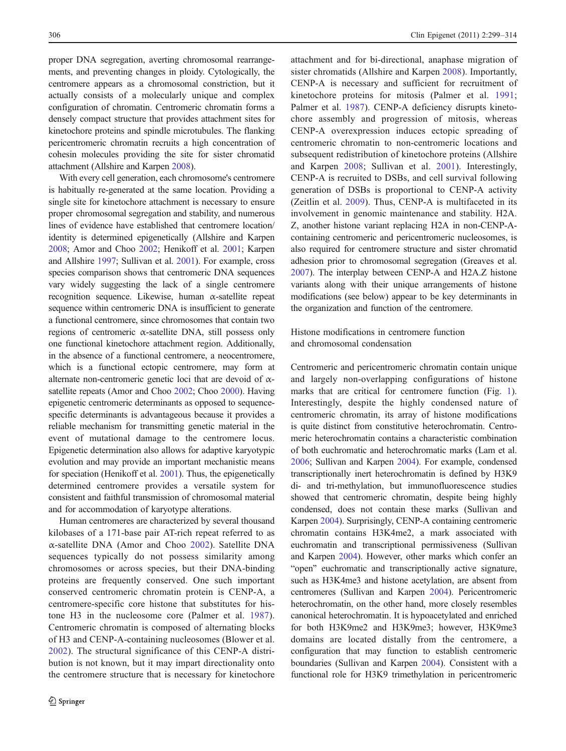proper DNA segregation, averting chromosomal rearrangements, and preventing changes in ploidy. Cytologically, the centromere appears as a chromosomal constriction, but it actually consists of a molecularly unique and complex configuration of chromatin. Centromeric chromatin forms a densely compact structure that provides attachment sites for kinetochore proteins and spindle microtubules. The flanking pericentromeric chromatin recruits a high concentration of cohesin molecules providing the site for sister chromatid attachment (Allshire and Karpen [2008\)](#page-10-0).

With every cell generation, each chromosome"s centromere is habitually re-generated at the same location. Providing a single site for kinetochore attachment is necessary to ensure proper chromosomal segregation and stability, and numerous lines of evidence have established that centromere location/ identity is determined epigenetically (Allshire and Karpen [2008;](#page-10-0) Amor and Choo [2002;](#page-10-0) Henikoff et al. [2001](#page-12-0); Karpen and Allshire [1997](#page-12-0); Sullivan et al. [2001](#page-14-0)). For example, cross species comparison shows that centromeric DNA sequences vary widely suggesting the lack of a single centromere recognition sequence. Likewise, human α-satellite repeat sequence within centromeric DNA is insufficient to generate a functional centromere, since chromosomes that contain two regions of centromeric α-satellite DNA, still possess only one functional kinetochore attachment region. Additionally, in the absence of a functional centromere, a neocentromere, which is a functional ectopic centromere, may form at alternate non-centromeric genetic loci that are devoid of  $\alpha$ satellite repeats (Amor and Choo [2002;](#page-10-0) Choo [2000\)](#page-11-0). Having epigenetic centromeric determinants as opposed to sequencespecific determinants is advantageous because it provides a reliable mechanism for transmitting genetic material in the event of mutational damage to the centromere locus. Epigenetic determination also allows for adaptive karyotypic evolution and may provide an important mechanistic means for speciation (Henikoff et al. [2001](#page-12-0)). Thus, the epigenetically determined centromere provides a versatile system for consistent and faithful transmission of chromosomal material and for accommodation of karyotype alterations.

Human centromeres are characterized by several thousand kilobases of a 171-base pair AT-rich repeat referred to as α-satellite DNA (Amor and Choo [2002\)](#page-10-0). Satellite DNA sequences typically do not possess similarity among chromosomes or across species, but their DNA-binding proteins are frequently conserved. One such important conserved centromeric chromatin protein is CENP-A, a centromere-specific core histone that substitutes for histone H3 in the nucleosome core (Palmer et al. [1987](#page-14-0)). Centromeric chromatin is composed of alternating blocks of H3 and CENP-A-containing nucleosomes (Blower et al. [2002](#page-11-0)). The structural significance of this CENP-A distribution is not known, but it may impart directionality onto the centromere structure that is necessary for kinetochore

attachment and for bi-directional, anaphase migration of sister chromatids (Allshire and Karpen [2008](#page-10-0)). Importantly, CENP-A is necessary and sufficient for recruitment of kinetochore proteins for mitosis (Palmer et al. [1991;](#page-14-0) Palmer et al. [1987\)](#page-14-0). CENP-A deficiency disrupts kinetochore assembly and progression of mitosis, whereas CENP-A overexpression induces ectopic spreading of centromeric chromatin to non-centromeric locations and subsequent redistribution of kinetochore proteins (Allshire and Karpen [2008](#page-10-0); Sullivan et al. [2001\)](#page-14-0). Interestingly, CENP-A is recruited to DSBs, and cell survival following generation of DSBs is proportional to CENP-A activity (Zeitlin et al. [2009](#page-15-0)). Thus, CENP-A is multifaceted in its involvement in genomic maintenance and stability. H2A. Z, another histone variant replacing H2A in non-CENP-Acontaining centromeric and pericentromeric nucleosomes, is also required for centromere structure and sister chromatid adhesion prior to chromosomal segregation (Greaves et al. [2007\)](#page-11-0). The interplay between CENP-A and H2A.Z histone variants along with their unique arrangements of histone modifications (see below) appear to be key determinants in the organization and function of the centromere.

Histone modifications in centromere function and chromosomal condensation

Centromeric and pericentromeric chromatin contain unique and largely non-overlapping configurations of histone marks that are critical for centromere function (Fig. [1\)](#page-8-0). Interestingly, despite the highly condensed nature of centromeric chromatin, its array of histone modifications is quite distinct from constitutive heterochromatin. Centromeric heterochromatin contains a characteristic combination of both euchromatic and heterochromatic marks (Lam et al. [2006;](#page-13-0) Sullivan and Karpen [2004\)](#page-14-0). For example, condensed transcriptionally inert heterochromatin is defined by H3K9 di- and tri-methylation, but immunofluorescence studies showed that centromeric chromatin, despite being highly condensed, does not contain these marks (Sullivan and Karpen [2004\)](#page-14-0). Surprisingly, CENP-A containing centromeric chromatin contains H3K4me2, a mark associated with euchromatin and transcriptional permissiveness (Sullivan and Karpen [2004](#page-14-0)). However, other marks which confer an "open" euchromatic and transcriptionally active signature, such as H3K4me3 and histone acetylation, are absent from centromeres (Sullivan and Karpen [2004\)](#page-14-0). Pericentromeric heterochromatin, on the other hand, more closely resembles canonical heterochromatin. It is hypoacetylated and enriched for both H3K9me2 and H3K9me3; however, H3K9me3 domains are located distally from the centromere, a configuration that may function to establish centromeric boundaries (Sullivan and Karpen [2004](#page-14-0)). Consistent with a functional role for H3K9 trimethylation in pericentromeric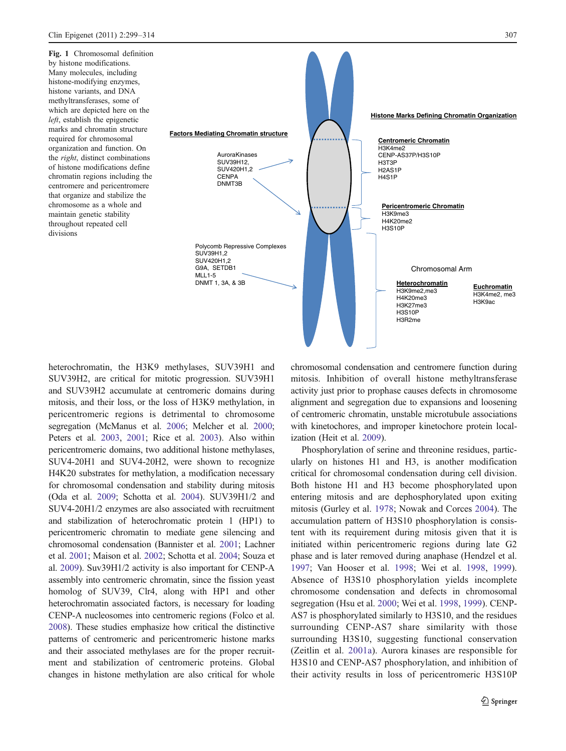that organize and stabilize the chromosome as a whole and maintain genetic stability throughout repeated cell

divisions

<span id="page-8-0"></span>Fig. 1 Chromosomal definition by histone modifications. Many molecules, including histone-modifying enzymes, histone variants, and DNA methyltransferases, some of which are depicted here on the left, establish the epigenetic marks and chromatin structure required for chromosomal organization and function. On the right, distinct combinations of histone modifications define chromatin regions including the centromere and pericentromere



heterochromatin, the H3K9 methylases, SUV39H1 and SUV39H2, are critical for mitotic progression. SUV39H1 and SUV39H2 accumulate at centromeric domains during mitosis, and their loss, or the loss of H3K9 methylation, in pericentromeric regions is detrimental to chromosome segregation (McManus et al. [2006;](#page-13-0) Melcher et al. [2000](#page-13-0); Peters et al. [2003,](#page-14-0) [2001](#page-14-0); Rice et al. [2003\)](#page-14-0). Also within pericentromeric domains, two additional histone methylases, SUV4-20H1 and SUV4-20H2, were shown to recognize H4K20 substrates for methylation, a modification necessary for chromosomal condensation and stability during mitosis (Oda et al. [2009;](#page-13-0) Schotta et al. [2004](#page-14-0)). SUV39H1/2 and SUV4-20H1/2 enzymes are also associated with recruitment and stabilization of heterochromatic protein 1 (HP1) to pericentromeric chromatin to mediate gene silencing and chromosomal condensation (Bannister et al. [2001;](#page-10-0) Lachner et al. [2001](#page-12-0); Maison et al. [2002](#page-13-0); Schotta et al. [2004](#page-14-0); Souza et al. [2009\)](#page-14-0). Suv39H1/2 activity is also important for CENP-A assembly into centromeric chromatin, since the fission yeast homolog of SUV39, Clr4, along with HP1 and other heterochromatin associated factors, is necessary for loading CENP-A nucleosomes into centromeric regions (Folco et al. [2008\)](#page-11-0). These studies emphasize how critical the distinctive patterns of centromeric and pericentromeric histone marks and their associated methylases are for the proper recruitment and stabilization of centromeric proteins. Global changes in histone methylation are also critical for whole chromosomal condensation and centromere function during mitosis. Inhibition of overall histone methyltransferase activity just prior to prophase causes defects in chromosome alignment and segregation due to expansions and loosening of centromeric chromatin, unstable microtubule associations with kinetochores, and improper kinetochore protein localization (Heit et al. [2009\)](#page-12-0).

Phosphorylation of serine and threonine residues, particularly on histones H1 and H3, is another modification critical for chromosomal condensation during cell division. Both histone H1 and H3 become phosphorylated upon entering mitosis and are dephosphorylated upon exiting mitosis (Gurley et al. [1978](#page-12-0); Nowak and Corces [2004](#page-13-0)). The accumulation pattern of H3S10 phosphorylation is consistent with its requirement during mitosis given that it is initiated within pericentromeric regions during late G2 phase and is later removed during anaphase (Hendzel et al. [1997](#page-12-0); Van Hooser et al. [1998](#page-15-0); Wei et al. [1998,](#page-15-0) [1999\)](#page-15-0). Absence of H3S10 phosphorylation yields incomplete chromosome condensation and defects in chromosomal segregation (Hsu et al. [2000](#page-12-0); Wei et al. [1998,](#page-15-0) [1999](#page-15-0)). CENP-AS7 is phosphorylated similarly to H3S10, and the residues surrounding CENP-AS7 share similarity with those surrounding H3S10, suggesting functional conservation (Zeitlin et al. [2001a\)](#page-15-0). Aurora kinases are responsible for H3S10 and CENP-AS7 phosphorylation, and inhibition of their activity results in loss of pericentromeric H3S10P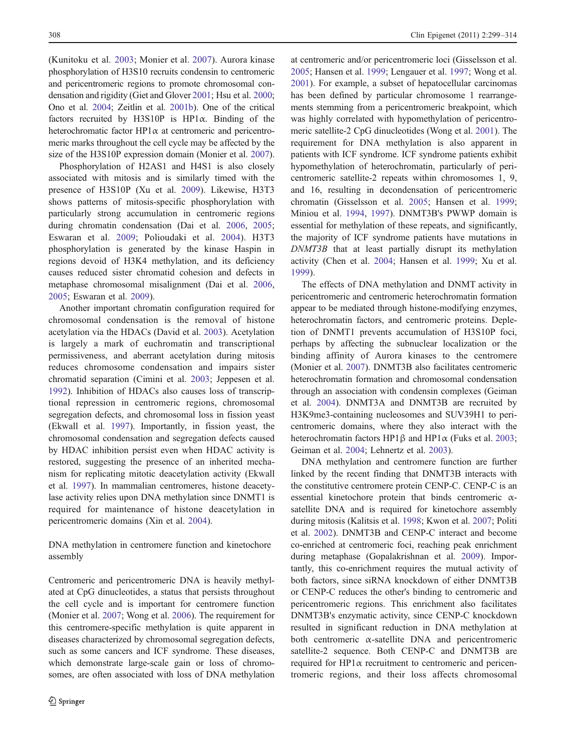(Kunitoku et al. [2003](#page-12-0); Monier et al. [2007\)](#page-13-0). Aurora kinase phosphorylation of H3S10 recruits condensin to centromeric and pericentromeric regions to promote chromosomal condensation and rigidity (Giet and Glover [2001](#page-11-0); Hsu et al. [2000](#page-12-0); Ono et al. [2004;](#page-13-0) Zeitlin et al. [2001b](#page-15-0)). One of the critical factors recruited by H3S10P is HP1α. Binding of the heterochromatic factor HP1 $\alpha$  at centromeric and pericentromeric marks throughout the cell cycle may be affected by the size of the H3S10P expression domain (Monier et al. [2007\)](#page-13-0).

Phosphorylation of H2AS1 and H4S1 is also closely associated with mitosis and is similarly timed with the presence of H3S10P (Xu et al. [2009\)](#page-15-0). Likewise, H3T3 shows patterns of mitosis-specific phosphorylation with particularly strong accumulation in centromeric regions during chromatin condensation (Dai et al. [2006](#page-11-0), [2005](#page-11-0); Eswaran et al. [2009;](#page-11-0) Polioudaki et al. [2004](#page-14-0)). H3T3 phosphorylation is generated by the kinase Haspin in regions devoid of H3K4 methylation, and its deficiency causes reduced sister chromatid cohesion and defects in metaphase chromosomal misalignment (Dai et al. [2006,](#page-11-0) [2005;](#page-11-0) Eswaran et al. [2009](#page-11-0)).

Another important chromatin configuration required for chromosomal condensation is the removal of histone acetylation via the HDACs (David et al. [2003](#page-11-0)). Acetylation is largely a mark of euchromatin and transcriptional permissiveness, and aberrant acetylation during mitosis reduces chromosome condensation and impairs sister chromatid separation (Cimini et al. [2003;](#page-11-0) Jeppesen et al. [1992\)](#page-12-0). Inhibition of HDACs also causes loss of transcriptional repression in centromeric regions, chromosomal segregation defects, and chromosomal loss in fission yeast (Ekwall et al. [1997\)](#page-11-0). Importantly, in fission yeast, the chromosomal condensation and segregation defects caused by HDAC inhibition persist even when HDAC activity is restored, suggesting the presence of an inherited mechanism for replicating mitotic deacetylation activity (Ekwall et al. [1997\)](#page-11-0). In mammalian centromeres, histone deacetylase activity relies upon DNA methylation since DNMT1 is required for maintenance of histone deacetylation in pericentromeric domains (Xin et al. [2004](#page-15-0)).

DNA methylation in centromere function and kinetochore assembly

Centromeric and pericentromeric DNA is heavily methylated at CpG dinucleotides, a status that persists throughout the cell cycle and is important for centromere function (Monier et al. [2007;](#page-13-0) Wong et al. [2006](#page-15-0)). The requirement for this centromere-specific methylation is quite apparent in diseases characterized by chromosomal segregation defects, such as some cancers and ICF syndrome. These diseases, which demonstrate large-scale gain or loss of chromosomes, are often associated with loss of DNA methylation at centromeric and/or pericentromeric loci (Gisselsson et al. [2005](#page-11-0); Hansen et al. [1999;](#page-12-0) Lengauer et al. [1997](#page-13-0); Wong et al. [2001](#page-15-0)). For example, a subset of hepatocellular carcinomas has been defined by particular chromosome 1 rearrangements stemming from a pericentromeric breakpoint, which was highly correlated with hypomethylation of pericentromeric satellite-2 CpG dinucleotides (Wong et al. [2001](#page-15-0)). The requirement for DNA methylation is also apparent in patients with ICF syndrome. ICF syndrome patients exhibit hypomethylation of heterochromatin, particularly of pericentromeric satellite-2 repeats within chromosomes 1, 9, and 16, resulting in decondensation of pericentromeric chromatin (Gisselsson et al. [2005](#page-11-0); Hansen et al. [1999;](#page-12-0) Miniou et al. [1994,](#page-13-0) [1997](#page-13-0)). DNMT3B"s PWWP domain is essential for methylation of these repeats, and significantly, the majority of ICF syndrome patients have mutations in DNMT3B that at least partially disrupt its methylation activity (Chen et al. [2004;](#page-11-0) Hansen et al. [1999;](#page-12-0) Xu et al. [1999](#page-15-0)).

The effects of DNA methylation and DNMT activity in pericentromeric and centromeric heterochromatin formation appear to be mediated through histone-modifying enzymes, heterochromatin factors, and centromeric proteins. Depletion of DNMT1 prevents accumulation of H3S10P foci, perhaps by affecting the subnuclear localization or the binding affinity of Aurora kinases to the centromere (Monier et al. [2007](#page-13-0)). DNMT3B also facilitates centromeric heterochromatin formation and chromosomal condensation through an association with condensin complexes (Geiman et al. [2004](#page-11-0)). DNMT3A and DNMT3B are recruited by H3K9me3-containing nucleosomes and SUV39H1 to pericentromeric domains, where they also interact with the heterochromatin factors HP1 $\beta$  and HP1 $\alpha$  (Fuks et al. [2003;](#page-11-0) Geiman et al. [2004;](#page-11-0) Lehnertz et al. [2003](#page-13-0)).

DNA methylation and centromere function are further linked by the recent finding that DNMT3B interacts with the constitutive centromere protein CENP-C. CENP-C is an essential kinetochore protein that binds centromeric  $\alpha$ satellite DNA and is required for kinetochore assembly during mitosis (Kalitsis et al. [1998;](#page-12-0) Kwon et al. [2007;](#page-12-0) Politi et al. [2002](#page-14-0)). DNMT3B and CENP-C interact and become co-enriched at centromeric foci, reaching peak enrichment during metaphase (Gopalakrishnan et al. [2009](#page-11-0)). Importantly, this co-enrichment requires the mutual activity of both factors, since siRNA knockdown of either DNMT3B or CENP-C reduces the other"s binding to centromeric and pericentromeric regions. This enrichment also facilitates DNMT3B"s enzymatic activity, since CENP-C knockdown resulted in significant reduction in DNA methylation at both centromeric  $\alpha$ -satellite DNA and pericentromeric satellite-2 sequence. Both CENP-C and DNMT3B are required for HP1 $\alpha$  recruitment to centromeric and pericentromeric regions, and their loss affects chromosomal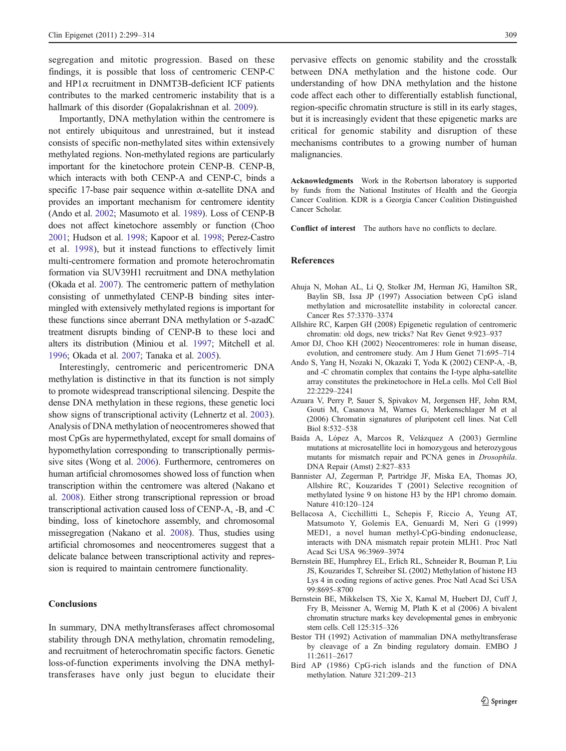<span id="page-10-0"></span>segregation and mitotic progression. Based on these findings, it is possible that loss of centromeric CENP-C and  $HP1\alpha$  recruitment in DNMT3B-deficient ICF patients contributes to the marked centromeric instability that is a hallmark of this disorder (Gopalakrishnan et al. [2009](#page-11-0)).

Importantly, DNA methylation within the centromere is not entirely ubiquitous and unrestrained, but it instead consists of specific non-methylated sites within extensively methylated regions. Non-methylated regions are particularly important for the kinetochore protein CENP-B. CENP-B, which interacts with both CENP-A and CENP-C, binds a specific 17-base pair sequence within  $\alpha$ -satellite DNA and provides an important mechanism for centromere identity (Ando et al. 2002; Masumoto et al. [1989\)](#page-13-0). Loss of CENP-B does not affect kinetochore assembly or function (Choo [2001;](#page-11-0) Hudson et al. [1998;](#page-12-0) Kapoor et al. [1998](#page-12-0); Perez-Castro et al. [1998](#page-14-0)), but it instead functions to effectively limit multi-centromere formation and promote heterochromatin formation via SUV39H1 recruitment and DNA methylation (Okada et al. [2007](#page-13-0)). The centromeric pattern of methylation consisting of unmethylated CENP-B binding sites intermingled with extensively methylated regions is important for these functions since aberrant DNA methylation or 5-azadC treatment disrupts binding of CENP-B to these loci and alters its distribution (Miniou et al. [1997;](#page-13-0) Mitchell et al. [1996;](#page-13-0) Okada et al. [2007;](#page-13-0) Tanaka et al. [2005](#page-14-0)).

Interestingly, centromeric and pericentromeric DNA methylation is distinctive in that its function is not simply to promote widespread transcriptional silencing. Despite the dense DNA methylation in these regions, these genetic loci show signs of transcriptional activity (Lehnertz et al. [2003](#page-13-0)). Analysis of DNA methylation of neocentromeres showed that most CpGs are hypermethylated, except for small domains of hypomethylation corresponding to transcriptionally permissive sites (Wong et al. [2006](#page-15-0)). Furthermore, centromeres on human artificial chromosomes showed loss of function when transcription within the centromere was altered (Nakano et al. [2008](#page-13-0)). Either strong transcriptional repression or broad transcriptional activation caused loss of CENP-A, -B, and -C binding, loss of kinetochore assembly, and chromosomal missegregation (Nakano et al. [2008\)](#page-13-0). Thus, studies using artificial chromosomes and neocentromeres suggest that a delicate balance between transcriptional activity and repression is required to maintain centromere functionality.

## **Conclusions**

In summary, DNA methyltransferases affect chromosomal stability through DNA methylation, chromatin remodeling, and recruitment of heterochromatin specific factors. Genetic loss-of-function experiments involving the DNA methyltransferases have only just begun to elucidate their pervasive effects on genomic stability and the crosstalk between DNA methylation and the histone code. Our understanding of how DNA methylation and the histone code affect each other to differentially establish functional, region-specific chromatin structure is still in its early stages, but it is increasingly evident that these epigenetic marks are critical for genomic stability and disruption of these mechanisms contributes to a growing number of human malignancies.

Acknowledgments Work in the Robertson laboratory is supported by funds from the National Institutes of Health and the Georgia Cancer Coalition. KDR is a Georgia Cancer Coalition Distinguished Cancer Scholar.

Conflict of interest The authors have no conflicts to declare.

#### References

- Ahuja N, Mohan AL, Li Q, Stolker JM, Herman JG, Hamilton SR, Baylin SB, Issa JP (1997) Association between CpG island methylation and microsatellite instability in colorectal cancer. Cancer Res 57:3370–3374
- Allshire RC, Karpen GH (2008) Epigenetic regulation of centromeric chromatin: old dogs, new tricks? Nat Rev Genet 9:923–937
- Amor DJ, Choo KH (2002) Neocentromeres: role in human disease, evolution, and centromere study. Am J Hum Genet 71:695–714
- Ando S, Yang H, Nozaki N, Okazaki T, Yoda K (2002) CENP-A, -B, and -C chromatin complex that contains the I-type alpha-satellite array constitutes the prekinetochore in HeLa cells. Mol Cell Biol 22:2229–2241
- Azuara V, Perry P, Sauer S, Spivakov M, Jorgensen HF, John RM, Gouti M, Casanova M, Warnes G, Merkenschlager M et al (2006) Chromatin signatures of pluripotent cell lines. Nat Cell Biol 8:532–538
- Baida A, López A, Marcos R, Velázquez A (2003) Germline mutations at microsatellite loci in homozygous and heterozygous mutants for mismatch repair and PCNA genes in Drosophila. DNA Repair (Amst) 2:827–833
- Bannister AJ, Zegerman P, Partridge JF, Miska EA, Thomas JO, Allshire RC, Kouzarides T (2001) Selective recognition of methylated lysine 9 on histone H3 by the HP1 chromo domain. Nature 410:120–124
- Bellacosa A, Cicchillitti L, Schepis F, Riccio A, Yeung AT, Matsumoto Y, Golemis EA, Genuardi M, Neri G (1999) MED1, a novel human methyl-CpG-binding endonuclease, interacts with DNA mismatch repair protein MLH1. Proc Natl Acad Sci USA 96:3969–3974
- Bernstein BE, Humphrey EL, Erlich RL, Schneider R, Bouman P, Liu JS, Kouzarides T, Schreiber SL (2002) Methylation of histone H3 Lys 4 in coding regions of active genes. Proc Natl Acad Sci USA 99:8695–8700
- Bernstein BE, Mikkelsen TS, Xie X, Kamal M, Huebert DJ, Cuff J, Fry B, Meissner A, Wernig M, Plath K et al (2006) A bivalent chromatin structure marks key developmental genes in embryonic stem cells. Cell 125:315–326
- Bestor TH (1992) Activation of mammalian DNA methyltransferase by cleavage of a Zn binding regulatory domain. EMBO J 11:2611–2617
- Bird AP (1986) CpG-rich islands and the function of DNA methylation. Nature 321:209–213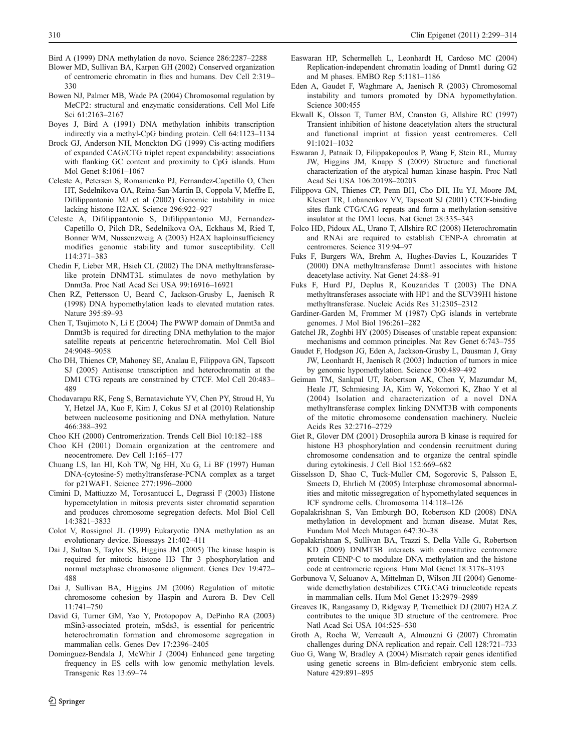- <span id="page-11-0"></span>Bird A (1999) DNA methylation de novo. Science 286:2287–2288
- Blower MD, Sullivan BA, Karpen GH (2002) Conserved organization of centromeric chromatin in flies and humans. Dev Cell 2:319– 330
- Bowen NJ, Palmer MB, Wade PA (2004) Chromosomal regulation by MeCP2: structural and enzymatic considerations. Cell Mol Life Sci 61:2163–2167
- Boyes J, Bird A (1991) DNA methylation inhibits transcription indirectly via a methyl-CpG binding protein. Cell 64:1123–1134
- Brock GJ, Anderson NH, Monckton DG (1999) Cis-acting modifiers of expanded CAG/CTG triplet repeat expandability: associations with flanking GC content and proximity to CpG islands. Hum Mol Genet 8:1061–1067
- Celeste A, Petersen S, Romanienko PJ, Fernandez-Capetillo O, Chen HT, Sedelnikova OA, Reina-San-Martin B, Coppola V, Meffre E, Difilippantonio MJ et al (2002) Genomic instability in mice lacking histone H2AX. Science 296:922–927
- Celeste A, Difilippantonio S, Difilippantonio MJ, Fernandez-Capetillo O, Pilch DR, Sedelnikova OA, Eckhaus M, Ried T, Bonner WM, Nussenzweig A (2003) H2AX haploinsufficiency modifies genomic stability and tumor susceptibility. Cell 114:371–383
- Chedin F, Lieber MR, Hsieh CL (2002) The DNA methyltransferaselike protein DNMT3L stimulates de novo methylation by Dnmt3a. Proc Natl Acad Sci USA 99:16916–16921
- Chen RZ, Pettersson U, Beard C, Jackson-Grusby L, Jaenisch R (1998) DNA hypomethylation leads to elevated mutation rates. Nature 395:89–93
- Chen T, Tsujimoto N, Li E (2004) The PWWP domain of Dnmt3a and Dnmt3b is required for directing DNA methylation to the major satellite repeats at pericentric heterochromatin. Mol Cell Biol 24:9048–9058
- Cho DH, Thienes CP, Mahoney SE, Analau E, Filippova GN, Tapscott SJ (2005) Antisense transcription and heterochromatin at the DM1 CTG repeats are constrained by CTCF. Mol Cell 20:483– 489
- Chodavarapu RK, Feng S, Bernatavichute YV, Chen PY, Stroud H, Yu Y, Hetzel JA, Kuo F, Kim J, Cokus SJ et al (2010) Relationship between nucleosome positioning and DNA methylation. Nature 466:388–392
- Choo KH (2000) Centromerization. Trends Cell Biol 10:182–188
- Choo KH (2001) Domain organization at the centromere and neocentromere. Dev Cell 1:165–177
- Chuang LS, Ian HI, Koh TW, Ng HH, Xu G, Li BF (1997) Human DNA-(cytosine-5) methyltransferase-PCNA complex as a target for p21WAF1. Science 277:1996–2000
- Cimini D, Mattiuzzo M, Torosantucci L, Degrassi F (2003) Histone hyperacetylation in mitosis prevents sister chromatid separation and produces chromosome segregation defects. Mol Biol Cell 14:3821–3833
- Colot V, Rossignol JL (1999) Eukaryotic DNA methylation as an evolutionary device. Bioessays 21:402–411
- Dai J, Sultan S, Taylor SS, Higgins JM (2005) The kinase haspin is required for mitotic histone H3 Thr 3 phosphorylation and normal metaphase chromosome alignment. Genes Dev 19:472– 488
- Dai J, Sullivan BA, Higgins JM (2006) Regulation of mitotic chromosome cohesion by Haspin and Aurora B. Dev Cell 11:741–750
- David G, Turner GM, Yao Y, Protopopov A, DePinho RA (2003) mSin3-associated protein, mSds3, is essential for pericentric heterochromatin formation and chromosome segregation in mammalian cells. Genes Dev 17:2396–2405
- Dominguez-Bendala J, McWhir J (2004) Enhanced gene targeting frequency in ES cells with low genomic methylation levels. Transgenic Res 13:69–74
- Easwaran HP, Schermelleh L, Leonhardt H, Cardoso MC (2004) Replication-independent chromatin loading of Dnmt1 during G2 and M phases. EMBO Rep 5:1181–1186
- Eden A, Gaudet F, Waghmare A, Jaenisch R (2003) Chromosomal instability and tumors promoted by DNA hypomethylation. Science 300:455
- Ekwall K, Olsson T, Turner BM, Cranston G, Allshire RC (1997) Transient inhibition of histone deacetylation alters the structural and functional imprint at fission yeast centromeres. Cell 91:1021–1032
- Eswaran J, Patnaik D, Filippakopoulos P, Wang F, Stein RL, Murray JW, Higgins JM, Knapp S (2009) Structure and functional characterization of the atypical human kinase haspin. Proc Natl Acad Sci USA 106:20198–20203
- Filippova GN, Thienes CP, Penn BH, Cho DH, Hu YJ, Moore JM, Klesert TR, Lobanenkov VV, Tapscott SJ (2001) CTCF-binding sites flank CTG/CAG repeats and form a methylation-sensitive insulator at the DM1 locus. Nat Genet 28:335–343
- Folco HD, Pidoux AL, Urano T, Allshire RC (2008) Heterochromatin and RNAi are required to establish CENP-A chromatin at centromeres. Science 319:94–97
- Fuks F, Burgers WA, Brehm A, Hughes-Davies L, Kouzarides T (2000) DNA methyltransferase Dnmt1 associates with histone deacetylase activity. Nat Genet 24:88–91
- Fuks F, Hurd PJ, Deplus R, Kouzarides T (2003) The DNA methyltransferases associate with HP1 and the SUV39H1 histone methyltransferase. Nucleic Acids Res 31:2305–2312
- Gardiner-Garden M, Frommer M (1987) CpG islands in vertebrate genomes. J Mol Biol 196:261–282
- Gatchel JR, Zoghbi HY (2005) Diseases of unstable repeat expansion: mechanisms and common principles. Nat Rev Genet 6:743–755
- Gaudet F, Hodgson JG, Eden A, Jackson-Grusby L, Dausman J, Gray JW, Leonhardt H, Jaenisch R (2003) Induction of tumors in mice by genomic hypomethylation. Science 300:489–492
- Geiman TM, Sankpal UT, Robertson AK, Chen Y, Mazumdar M, Heale JT, Schmiesing JA, Kim W, Yokomori K, Zhao Y et al (2004) Isolation and characterization of a novel DNA methyltransferase complex linking DNMT3B with components of the mitotic chromosome condensation machinery. Nucleic Acids Res 32:2716–2729
- Giet R, Glover DM (2001) Drosophila aurora B kinase is required for histone H3 phosphorylation and condensin recruitment during chromosome condensation and to organize the central spindle during cytokinesis. J Cell Biol 152:669–682
- Gisselsson D, Shao C, Tuck-Muller CM, Sogorovic S, Palsson E, Smeets D, Ehrlich M (2005) Interphase chromosomal abnormalities and mitotic missegregation of hypomethylated sequences in ICF syndrome cells. Chromosoma 114:118–126
- Gopalakrishnan S, Van Emburgh BO, Robertson KD (2008) DNA methylation in development and human disease. Mutat Res, Fundam Mol Mech Mutagen 647:30–38
- Gopalakrishnan S, Sullivan BA, Trazzi S, Della Valle G, Robertson KD (2009) DNMT3B interacts with constitutive centromere protein CENP-C to modulate DNA methylation and the histone code at centromeric regions. Hum Mol Genet 18:3178–3193
- Gorbunova V, Seluanov A, Mittelman D, Wilson JH (2004) Genomewide demethylation destabilizes CTG.CAG trinucleotide repeats in mammalian cells. Hum Mol Genet 13:2979–2989
- Greaves IK, Rangasamy D, Ridgway P, Tremethick DJ (2007) H2A.Z contributes to the unique 3D structure of the centromere. Proc Natl Acad Sci USA 104:525–530
- Groth A, Rocha W, Verreault A, Almouzni G (2007) Chromatin challenges during DNA replication and repair. Cell 128:721–733
- Guo G, Wang W, Bradley A (2004) Mismatch repair genes identified using genetic screens in Blm-deficient embryonic stem cells. Nature 429:891–895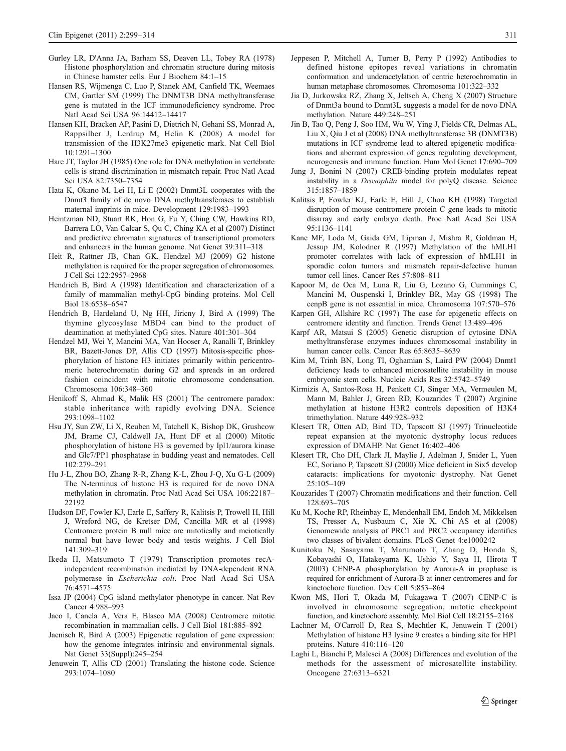- <span id="page-12-0"></span>Gurley LR, D"Anna JA, Barham SS, Deaven LL, Tobey RA (1978) Histone phosphorylation and chromatin structure during mitosis in Chinese hamster cells. Eur J Biochem 84:1–15
- Hansen RS, Wijmenga C, Luo P, Stanek AM, Canfield TK, Weemaes CM, Gartler SM (1999) The DNMT3B DNA methyltransferase gene is mutated in the ICF immunodeficiency syndrome. Proc Natl Acad Sci USA 96:14412–14417
- Hansen KH, Bracken AP, Pasini D, Dietrich N, Gehani SS, Monrad A, Rappsilber J, Lerdrup M, Helin K (2008) A model for transmission of the H3K27me3 epigenetic mark. Nat Cell Biol 10:1291–1300
- Hare JT, Taylor JH (1985) One role for DNA methylation in vertebrate cells is strand discrimination in mismatch repair. Proc Natl Acad Sci USA 82:7350–7354
- Hata K, Okano M, Lei H, Li E (2002) Dnmt3L cooperates with the Dnmt3 family of de novo DNA methyltransferases to establish maternal imprints in mice. Development 129:1983–1993
- Heintzman ND, Stuart RK, Hon G, Fu Y, Ching CW, Hawkins RD, Barrera LO, Van Calcar S, Qu C, Ching KA et al (2007) Distinct and predictive chromatin signatures of transcriptional promoters and enhancers in the human genome. Nat Genet 39:311–318
- Heit R, Rattner JB, Chan GK, Hendzel MJ (2009) G2 histone methylation is required for the proper segregation of chromosomes. J Cell Sci 122:2957–2968
- Hendrich B, Bird A (1998) Identification and characterization of a family of mammalian methyl-CpG binding proteins. Mol Cell Biol 18:6538–6547
- Hendrich B, Hardeland U, Ng HH, Jiricny J, Bird A (1999) The thymine glycosylase MBD4 can bind to the product of deamination at methylated CpG sites. Nature 401:301–304
- Hendzel MJ, Wei Y, Mancini MA, Van Hooser A, Ranalli T, Brinkley BR, Bazett-Jones DP, Allis CD (1997) Mitosis-specific phosphorylation of histone H3 initiates primarily within pericentromeric heterochromatin during G2 and spreads in an ordered fashion coincident with mitotic chromosome condensation. Chromosoma 106:348–360
- Henikoff S, Ahmad K, Malik HS (2001) The centromere paradox: stable inheritance with rapidly evolving DNA. Science 293:1098–1102
- Hsu JY, Sun ZW, Li X, Reuben M, Tatchell K, Bishop DK, Grushcow JM, Brame CJ, Caldwell JA, Hunt DF et al (2000) Mitotic phosphorylation of histone H3 is governed by Ipl1/aurora kinase and Glc7/PP1 phosphatase in budding yeast and nematodes. Cell 102:279–291
- Hu J-L, Zhou BO, Zhang R-R, Zhang K-L, Zhou J-Q, Xu G-L (2009) The N-terminus of histone H3 is required for de novo DNA methylation in chromatin. Proc Natl Acad Sci USA 106:22187– 22192
- Hudson DF, Fowler KJ, Earle E, Saffery R, Kalitsis P, Trowell H, Hill J, Wreford NG, de Kretser DM, Cancilla MR et al (1998) Centromere protein B null mice are mitotically and meiotically normal but have lower body and testis weights. J Cell Biol 141:309–319
- Ikeda H, Matsumoto T (1979) Transcription promotes recAindependent recombination mediated by DNA-dependent RNA polymerase in Escherichia coli. Proc Natl Acad Sci USA 76:4571–4575
- Issa JP (2004) CpG island methylator phenotype in cancer. Nat Rev Cancer 4:988–993
- Jaco I, Canela A, Vera E, Blasco MA (2008) Centromere mitotic recombination in mammalian cells. J Cell Biol 181:885–892
- Jaenisch R, Bird A (2003) Epigenetic regulation of gene expression: how the genome integrates intrinsic and environmental signals. Nat Genet 33(Suppl):245–254
- Jenuwein T, Allis CD (2001) Translating the histone code. Science 293:1074–1080
- Jeppesen P, Mitchell A, Turner B, Perry P (1992) Antibodies to defined histone epitopes reveal variations in chromatin conformation and underacetylation of centric heterochromatin in human metaphase chromosomes. Chromosoma 101:322–332
- Jia D, Jurkowska RZ, Zhang X, Jeltsch A, Cheng X (2007) Structure of Dnmt3a bound to Dnmt3L suggests a model for de novo DNA methylation. Nature 449:248–251
- Jin B, Tao Q, Peng J, Soo HM, Wu W, Ying J, Fields CR, Delmas AL, Liu X, Qiu J et al (2008) DNA methyltransferase 3B (DNMT3B) mutations in ICF syndrome lead to altered epigenetic modifications and aberrant expression of genes regulating development, neurogenesis and immune function. Hum Mol Genet 17:690–709
- Jung J, Bonini N (2007) CREB-binding protein modulates repeat instability in a Drosophila model for polyQ disease. Science 315:1857–1859
- Kalitsis P, Fowler KJ, Earle E, Hill J, Choo KH (1998) Targeted disruption of mouse centromere protein C gene leads to mitotic disarray and early embryo death. Proc Natl Acad Sci USA 95:1136–1141
- Kane MF, Loda M, Gaida GM, Lipman J, Mishra R, Goldman H, Jessup JM, Kolodner R (1997) Methylation of the hMLH1 promoter correlates with lack of expression of hMLH1 in sporadic colon tumors and mismatch repair-defective human tumor cell lines. Cancer Res 57:808–811
- Kapoor M, de Oca M, Luna R, Liu G, Lozano G, Cummings C, Mancini M, Ouspenski I, Brinkley BR, May GS (1998) The cenpB gene is not essential in mice. Chromosoma 107:570–576
- Karpen GH, Allshire RC (1997) The case for epigenetic effects on centromere identity and function. Trends Genet 13:489–496
- Karpf AR, Matsui S (2005) Genetic disruption of cytosine DNA methyltransferase enzymes induces chromosomal instability in human cancer cells. Cancer Res 65:8635–8639
- Kim M, Trinh BN, Long TI, Oghamian S, Laird PW (2004) Dnmt1 deficiency leads to enhanced microsatellite instability in mouse embryonic stem cells. Nucleic Acids Res 32:5742–5749
- Kirmizis A, Santos-Rosa H, Penkett CJ, Singer MA, Vermeulen M, Mann M, Bahler J, Green RD, Kouzarides T (2007) Arginine methylation at histone H3R2 controls deposition of H3K4 trimethylation. Nature 449:928–932
- Klesert TR, Otten AD, Bird TD, Tapscott SJ (1997) Trinucleotide repeat expansion at the myotonic dystrophy locus reduces expression of DMAHP. Nat Genet 16:402–406
- Klesert TR, Cho DH, Clark JI, Maylie J, Adelman J, Snider L, Yuen EC, Soriano P, Tapscott SJ (2000) Mice deficient in Six5 develop cataracts: implications for myotonic dystrophy. Nat Genet 25:105–109
- Kouzarides T (2007) Chromatin modifications and their function. Cell 128:693–705
- Ku M, Koche RP, Rheinbay E, Mendenhall EM, Endoh M, Mikkelsen TS, Presser A, Nusbaum C, Xie X, Chi AS et al (2008) Genomewide analysis of PRC1 and PRC2 occupancy identifies two classes of bivalent domains. PLoS Genet 4:e1000242
- Kunitoku N, Sasayama T, Marumoto T, Zhang D, Honda S, Kobayashi O, Hatakeyama K, Ushio Y, Saya H, Hirota T (2003) CENP-A phosphorylation by Aurora-A in prophase is required for enrichment of Aurora-B at inner centromeres and for kinetochore function. Dev Cell 5:853–864
- Kwon MS, Hori T, Okada M, Fukagawa T (2007) CENP-C is involved in chromosome segregation, mitotic checkpoint function, and kinetochore assembly. Mol Biol Cell 18:2155–2168
- Lachner M, O"Carroll D, Rea S, Mechtler K, Jenuwein T (2001) Methylation of histone H3 lysine 9 creates a binding site for HP1 proteins. Nature 410:116–120
- Laghi L, Bianchi P, Malesci A (2008) Differences and evolution of the methods for the assessment of microsatellite instability. Oncogene 27:6313–6321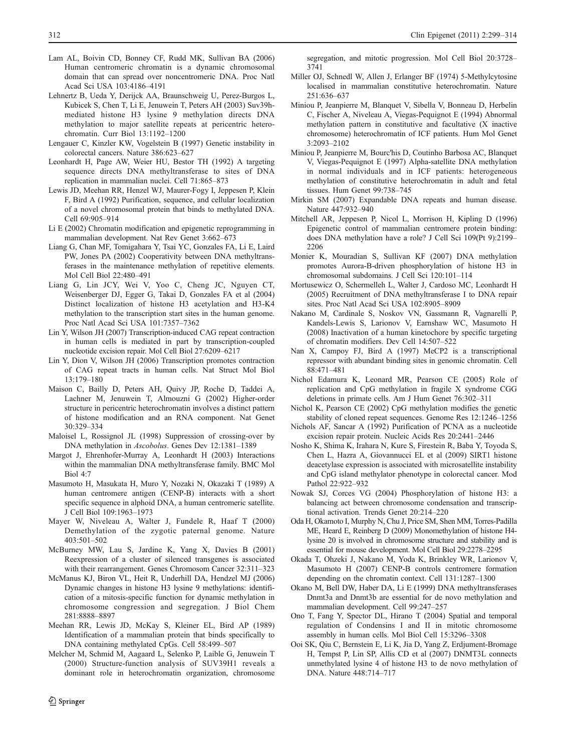- <span id="page-13-0"></span>Lam AL, Boivin CD, Bonney CF, Rudd MK, Sullivan BA (2006) Human centromeric chromatin is a dynamic chromosomal domain that can spread over noncentromeric DNA. Proc Natl Acad Sci USA 103:4186–4191
- Lehnertz B, Ueda Y, Derijck AA, Braunschweig U, Perez-Burgos L, Kubicek S, Chen T, Li E, Jenuwein T, Peters AH (2003) Suv39hmediated histone H3 lysine 9 methylation directs DNA methylation to major satellite repeats at pericentric heterochromatin. Curr Biol 13:1192–1200
- Lengauer C, Kinzler KW, Vogelstein B (1997) Genetic instability in colorectal cancers. Nature 386:623–627
- Leonhardt H, Page AW, Weier HU, Bestor TH (1992) A targeting sequence directs DNA methyltransferase to sites of DNA replication in mammalian nuclei. Cell 71:865–873
- Lewis JD, Meehan RR, Henzel WJ, Maurer-Fogy I, Jeppesen P, Klein F, Bird A (1992) Purification, sequence, and cellular localization of a novel chromosomal protein that binds to methylated DNA. Cell 69:905–914
- Li E (2002) Chromatin modification and epigenetic reprogramming in mammalian development. Nat Rev Genet 3:662–673
- Liang G, Chan MF, Tomigahara Y, Tsai YC, Gonzales FA, Li E, Laird PW, Jones PA (2002) Cooperativity between DNA methyltransferases in the maintenance methylation of repetitive elements. Mol Cell Biol 22:480–491
- Liang G, Lin JCY, Wei V, Yoo C, Cheng JC, Nguyen CT, Weisenberger DJ, Egger G, Takai D, Gonzales FA et al (2004) Distinct localization of histone H3 acetylation and H3-K4 methylation to the transcription start sites in the human genome. Proc Natl Acad Sci USA 101:7357–7362
- Lin Y, Wilson JH (2007) Transcription-induced CAG repeat contraction in human cells is mediated in part by transcription-coupled nucleotide excision repair. Mol Cell Biol 27:6209–6217
- Lin Y, Dion V, Wilson JH (2006) Transcription promotes contraction of CAG repeat tracts in human cells. Nat Struct Mol Biol 13:179–180
- Maison C, Bailly D, Peters AH, Quivy JP, Roche D, Taddei A, Lachner M, Jenuwein T, Almouzni G (2002) Higher-order structure in pericentric heterochromatin involves a distinct pattern of histone modification and an RNA component. Nat Genet 30:329–334
- Maloisel L, Rossignol JL (1998) Suppression of crossing-over by DNA methylation in Ascobolus. Genes Dev 12:1381–1389
- Margot J, Ehrenhofer-Murray A, Leonhardt H (2003) Interactions within the mammalian DNA methyltransferase family. BMC Mol Biol  $4.7$
- Masumoto H, Masukata H, Muro Y, Nozaki N, Okazaki T (1989) A human centromere antigen (CENP-B) interacts with a short specific sequence in alphoid DNA, a human centromeric satellite. J Cell Biol 109:1963–1973
- Mayer W, Niveleau A, Walter J, Fundele R, Haaf T (2000) Demethylation of the zygotic paternal genome. Nature 403:501–502
- McBurney MW, Lau S, Jardine K, Yang X, Davies B (2001) Reexpression of a cluster of silenced transgenes is associated with their rearrangement. Genes Chromosom Cancer 32:311–323
- McManus KJ, Biron VL, Heit R, Underhill DA, Hendzel MJ (2006) Dynamic changes in histone H3 lysine 9 methylations: identification of a mitosis-specific function for dynamic methylation in chromosome congression and segregation. J Biol Chem 281:8888–8897
- Meehan RR, Lewis JD, McKay S, Kleiner EL, Bird AP (1989) Identification of a mammalian protein that binds specifically to DNA containing methylated CpGs. Cell 58:499–507
- Melcher M, Schmid M, Aagaard L, Selenko P, Laible G, Jenuwein T (2000) Structure-function analysis of SUV39H1 reveals a dominant role in heterochromatin organization, chromosome

 $\textcircled{2}$  Springer

segregation, and mitotic progression. Mol Cell Biol 20:3728– 3741

- Miller OJ, Schnedl W, Allen J, Erlanger BF (1974) 5-Methylcytosine localised in mammalian constitutive heterochromatin. Nature 251:636–637
- Miniou P, Jeanpierre M, Blanquet V, Sibella V, Bonneau D, Herbelin C, Fischer A, Niveleau A, Viegas-Pequignot E (1994) Abnormal methylation pattern in constitutive and facultative (X inactive chromosome) heterochromatin of ICF patients. Hum Mol Genet 3:2093–2102
- Miniou P, Jeanpierre M, Bourc"his D, Coutinho Barbosa AC, Blanquet V, Viegas-Pequignot E (1997) Alpha-satellite DNA methylation in normal individuals and in ICF patients: heterogeneous methylation of constitutive heterochromatin in adult and fetal tissues. Hum Genet 99:738–745
- Mirkin SM (2007) Expandable DNA repeats and human disease. Nature 447:932–940
- Mitchell AR, Jeppesen P, Nicol L, Morrison H, Kipling D (1996) Epigenetic control of mammalian centromere protein binding: does DNA methylation have a role? J Cell Sci 109(Pt 9):2199– 2206
- Monier K, Mouradian S, Sullivan KF (2007) DNA methylation promotes Aurora-B-driven phosphorylation of histone H3 in chromosomal subdomains. J Cell Sci 120:101–114
- Mortusewicz O, Schermelleh L, Walter J, Cardoso MC, Leonhardt H (2005) Recruitment of DNA methyltransferase I to DNA repair sites. Proc Natl Acad Sci USA 102:8905–8909
- Nakano M, Cardinale S, Noskov VN, Gassmann R, Vagnarelli P, Kandels-Lewis S, Larionov V, Earnshaw WC, Masumoto H (2008) Inactivation of a human kinetochore by specific targeting of chromatin modifiers. Dev Cell 14:507–522
- Nan X, Campoy FJ, Bird A (1997) MeCP2 is a transcriptional repressor with abundant binding sites in genomic chromatin. Cell 88:471–481
- Nichol Edamura K, Leonard MR, Pearson CE (2005) Role of replication and CpG methylation in fragile X syndrome CGG deletions in primate cells. Am J Hum Genet 76:302–311
- Nichol K, Pearson CE (2002) CpG methylation modifies the genetic stability of cloned repeat sequences. Genome Res 12:1246–1256
- Nichols AF, Sancar A (1992) Purification of PCNA as a nucleotide excision repair protein. Nucleic Acids Res 20:2441–2446
- Nosho K, Shima K, Irahara N, Kure S, Firestein R, Baba Y, Toyoda S, Chen L, Hazra A, Giovannucci EL et al (2009) SIRT1 histone deacetylase expression is associated with microsatellite instability and CpG island methylator phenotype in colorectal cancer. Mod Pathol 22:922–932
- Nowak SJ, Corces VG (2004) Phosphorylation of histone H3: a balancing act between chromosome condensation and transcriptional activation. Trends Genet 20:214–220
- Oda H, Okamoto I, Murphy N, Chu J, Price SM, Shen MM, Torres-Padilla ME, Heard E, Reinberg D (2009) Monomethylation of histone H4 lysine 20 is involved in chromosome structure and stability and is essential for mouse development. Mol Cell Biol 29:2278–2295
- Okada T, Ohzeki J, Nakano M, Yoda K, Brinkley WR, Larionov V, Masumoto H (2007) CENP-B controls centromere formation depending on the chromatin context. Cell 131:1287–1300
- Okano M, Bell DW, Haber DA, Li E (1999) DNA methyltransferases Dnmt3a and Dnmt3b are essential for de novo methylation and mammalian development. Cell 99:247–257
- Ono T, Fang Y, Spector DL, Hirano T (2004) Spatial and temporal regulation of Condensins I and II in mitotic chromosome assembly in human cells. Mol Biol Cell 15:3296–3308
- Ooi SK, Qiu C, Bernstein E, Li K, Jia D, Yang Z, Erdjument-Bromage H, Tempst P, Lin SP, Allis CD et al (2007) DNMT3L connects unmethylated lysine 4 of histone H3 to de novo methylation of DNA. Nature 448:714–717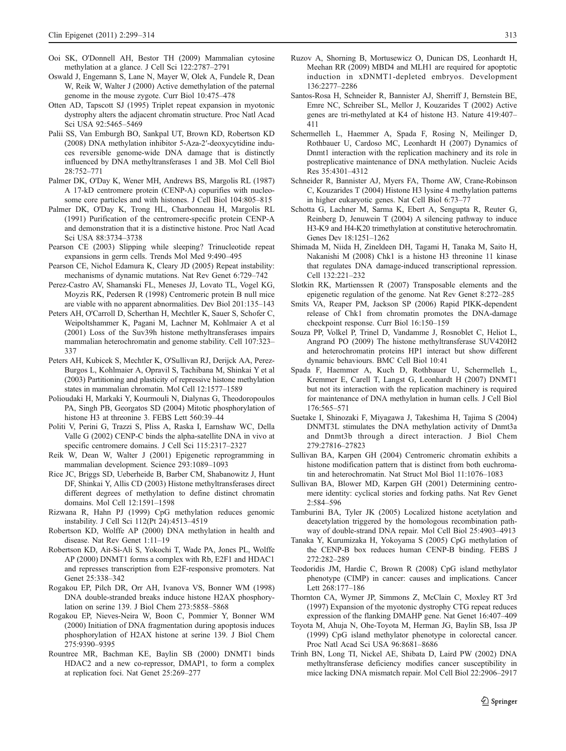- <span id="page-14-0"></span>Ooi SK, O"Donnell AH, Bestor TH (2009) Mammalian cytosine methylation at a glance. J Cell Sci 122:2787–2791
- Oswald J, Engemann S, Lane N, Mayer W, Olek A, Fundele R, Dean W, Reik W, Walter J (2000) Active demethylation of the paternal genome in the mouse zygote. Curr Biol 10:475–478
- Otten AD, Tapscott SJ (1995) Triplet repeat expansion in myotonic dystrophy alters the adjacent chromatin structure. Proc Natl Acad Sci USA 92:5465–5469
- Palii SS, Van Emburgh BO, Sankpal UT, Brown KD, Robertson KD (2008) DNA methylation inhibitor 5-Aza-2′-deoxycytidine induces reversible genome-wide DNA damage that is distinctly influenced by DNA methyltransferases 1 and 3B. Mol Cell Biol 28:752–771
- Palmer DK, O"Day K, Wener MH, Andrews BS, Margolis RL (1987) A 17-kD centromere protein (CENP-A) copurifies with nucleosome core particles and with histones. J Cell Biol 104:805–815
- Palmer DK, O"Day K, Trong HL, Charbonneau H, Margolis RL (1991) Purification of the centromere-specific protein CENP-A and demonstration that it is a distinctive histone. Proc Natl Acad Sci USA 88:3734–3738
- Pearson CE (2003) Slipping while sleeping? Trinucleotide repeat expansions in germ cells. Trends Mol Med 9:490–495
- Pearson CE, Nichol Edamura K, Cleary JD (2005) Repeat instability: mechanisms of dynamic mutations. Nat Rev Genet 6:729–742
- Perez-Castro AV, Shamanski FL, Meneses JJ, Lovato TL, Vogel KG, Moyzis RK, Pedersen R (1998) Centromeric protein B null mice are viable with no apparent abnormalities. Dev Biol 201:135–143
- Peters AH, O"Carroll D, Scherthan H, Mechtler K, Sauer S, Schofer C, Weipoltshammer K, Pagani M, Lachner M, Kohlmaier A et al (2001) Loss of the Suv39h histone methyltransferases impairs mammalian heterochromatin and genome stability. Cell 107:323– 337
- Peters AH, Kubicek S, Mechtler K, O"Sullivan RJ, Derijck AA, Perez-Burgos L, Kohlmaier A, Opravil S, Tachibana M, Shinkai Y et al (2003) Partitioning and plasticity of repressive histone methylation states in mammalian chromatin. Mol Cell 12:1577–1589
- Polioudaki H, Markaki Y, Kourmouli N, Dialynas G, Theodoropoulos PA, Singh PB, Georgatos SD (2004) Mitotic phosphorylation of histone H3 at threonine 3. FEBS Lett 560:39–44
- Politi V, Perini G, Trazzi S, Pliss A, Raska I, Earnshaw WC, Della Valle G (2002) CENP-C binds the alpha-satellite DNA in vivo at specific centromere domains. J Cell Sci 115:2317–2327
- Reik W, Dean W, Walter J (2001) Epigenetic reprogramming in mammalian development. Science 293:1089–1093
- Rice JC, Briggs SD, Ueberheide B, Barber CM, Shabanowitz J, Hunt DF, Shinkai Y, Allis CD (2003) Histone methyltransferases direct different degrees of methylation to define distinct chromatin domains. Mol Cell 12:1591–1598
- Rizwana R, Hahn PJ (1999) CpG methylation reduces genomic instability. J Cell Sci 112(Pt 24):4513–4519
- Robertson KD, Wolffe AP (2000) DNA methylation in health and disease. Nat Rev Genet 1:11–19
- Robertson KD, Ait-Si-Ali S, Yokochi T, Wade PA, Jones PL, Wolffe AP (2000) DNMT1 forms a complex with Rb, E2F1 and HDAC1 and represses transcription from E2F-responsive promoters. Nat Genet 25:338–342
- Rogakou EP, Pilch DR, Orr AH, Ivanova VS, Bonner WM (1998) DNA double-stranded breaks induce histone H2AX phosphorylation on serine 139. J Biol Chem 273:5858–5868
- Rogakou EP, Nieves-Neira W, Boon C, Pommier Y, Bonner WM (2000) Initiation of DNA fragmentation during apoptosis induces phosphorylation of H2AX histone at serine 139. J Biol Chem 275:9390–9395
- Rountree MR, Bachman KE, Baylin SB (2000) DNMT1 binds HDAC2 and a new co-repressor, DMAP1, to form a complex at replication foci. Nat Genet 25:269–277
- Ruzov A, Shorning B, Mortusewicz O, Dunican DS, Leonhardt H, Meehan RR (2009) MBD4 and MLH1 are required for apoptotic induction in xDNMT1-depleted embryos. Development 136:2277–2286
- Santos-Rosa H, Schneider R, Bannister AJ, Sherriff J, Bernstein BE, Emre NC, Schreiber SL, Mellor J, Kouzarides T (2002) Active genes are tri-methylated at K4 of histone H3. Nature 419:407– 411
- Schermelleh L, Haemmer A, Spada F, Rosing N, Meilinger D, Rothbauer U, Cardoso MC, Leonhardt H (2007) Dynamics of Dnmt1 interaction with the replication machinery and its role in postreplicative maintenance of DNA methylation. Nucleic Acids Res 35:4301–4312
- Schneider R, Bannister AJ, Myers FA, Thorne AW, Crane-Robinson C, Kouzarides T (2004) Histone H3 lysine 4 methylation patterns in higher eukaryotic genes. Nat Cell Biol 6:73–77
- Schotta G, Lachner M, Sarma K, Ebert A, Sengupta R, Reuter G, Reinberg D, Jenuwein T (2004) A silencing pathway to induce H3-K9 and H4-K20 trimethylation at constitutive heterochromatin. Genes Dev 18:1251–1262
- Shimada M, Niida H, Zineldeen DH, Tagami H, Tanaka M, Saito H, Nakanishi M (2008) Chk1 is a histone H3 threonine 11 kinase that regulates DNA damage-induced transcriptional repression. Cell 132:221–232
- Slotkin RK, Martienssen R (2007) Transposable elements and the epigenetic regulation of the genome. Nat Rev Genet 8:272–285
- Smits VA, Reaper PM, Jackson SP (2006) Rapid PIKK-dependent release of Chk1 from chromatin promotes the DNA-damage checkpoint response. Curr Biol 16:150–159
- Souza PP, Volkel P, Trinel D, Vandamme J, Rosnoblet C, Heliot L, Angrand PO (2009) The histone methyltransferase SUV420H2 and heterochromatin proteins HP1 interact but show different dynamic behaviours. BMC Cell Biol 10:41
- Spada F, Haemmer A, Kuch D, Rothbauer U, Schermelleh L, Kremmer E, Carell T, Langst G, Leonhardt H (2007) DNMT1 but not its interaction with the replication machinery is required for maintenance of DNA methylation in human cells. J Cell Biol 176:565–571
- Suetake I, Shinozaki F, Miyagawa J, Takeshima H, Tajima S (2004) DNMT3L stimulates the DNA methylation activity of Dnmt3a and Dnmt3b through a direct interaction. J Biol Chem 279:27816–27823
- Sullivan BA, Karpen GH (2004) Centromeric chromatin exhibits a histone modification pattern that is distinct from both euchromatin and heterochromatin. Nat Struct Mol Biol 11:1076–1083
- Sullivan BA, Blower MD, Karpen GH (2001) Determining centromere identity: cyclical stories and forking paths. Nat Rev Genet 2:584–596
- Tamburini BA, Tyler JK (2005) Localized histone acetylation and deacetylation triggered by the homologous recombination pathway of double-strand DNA repair. Mol Cell Biol 25:4903–4913
- Tanaka Y, Kurumizaka H, Yokoyama S (2005) CpG methylation of the CENP-B box reduces human CENP-B binding. FEBS J 272:282–289
- Teodoridis JM, Hardie C, Brown R (2008) CpG island methylator phenotype (CIMP) in cancer: causes and implications. Cancer Lett 268:177–186
- Thornton CA, Wymer JP, Simmons Z, McClain C, Moxley RT 3rd (1997) Expansion of the myotonic dystrophy CTG repeat reduces expression of the flanking DMAHP gene. Nat Genet 16:407–409
- Toyota M, Ahuja N, Ohe-Toyota M, Herman JG, Baylin SB, Issa JP (1999) CpG island methylator phenotype in colorectal cancer. Proc Natl Acad Sci USA 96:8681–8686
- Trinh BN, Long TI, Nickel AE, Shibata D, Laird PW (2002) DNA methyltransferase deficiency modifies cancer susceptibility in mice lacking DNA mismatch repair. Mol Cell Biol 22:2906–2917